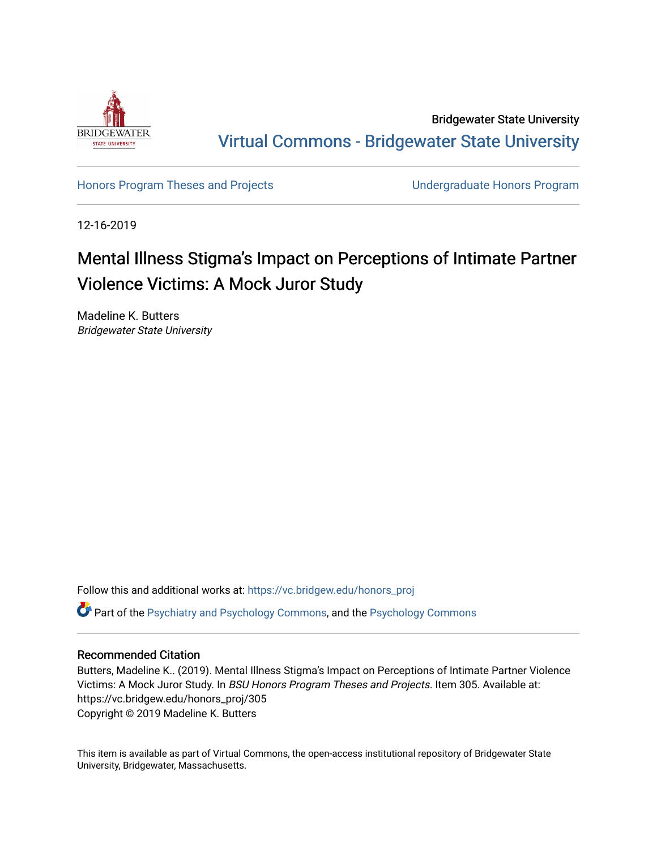

Bridgewater State University [Virtual Commons - Bridgewater State University](https://vc.bridgew.edu/) 

[Honors Program Theses and Projects](https://vc.bridgew.edu/honors_proj) [Undergraduate Honors Program](https://vc.bridgew.edu/honors) 

12-16-2019

# Mental Illness Stigma's Impact on Perceptions of Intimate Partner Violence Victims: A Mock Juror Study

Madeline K. Butters Bridgewater State University

Follow this and additional works at: [https://vc.bridgew.edu/honors\\_proj](https://vc.bridgew.edu/honors_proj?utm_source=vc.bridgew.edu%2Fhonors_proj%2F305&utm_medium=PDF&utm_campaign=PDFCoverPages)

Part of the [Psychiatry and Psychology Commons,](http://network.bepress.com/hgg/discipline/908?utm_source=vc.bridgew.edu%2Fhonors_proj%2F305&utm_medium=PDF&utm_campaign=PDFCoverPages) and the [Psychology Commons](http://network.bepress.com/hgg/discipline/404?utm_source=vc.bridgew.edu%2Fhonors_proj%2F305&utm_medium=PDF&utm_campaign=PDFCoverPages)

### Recommended Citation

Butters, Madeline K.. (2019). Mental Illness Stigma's Impact on Perceptions of Intimate Partner Violence Victims: A Mock Juror Study. In BSU Honors Program Theses and Projects. Item 305. Available at: https://vc.bridgew.edu/honors\_proj/305 Copyright © 2019 Madeline K. Butters

This item is available as part of Virtual Commons, the open-access institutional repository of Bridgewater State University, Bridgewater, Massachusetts.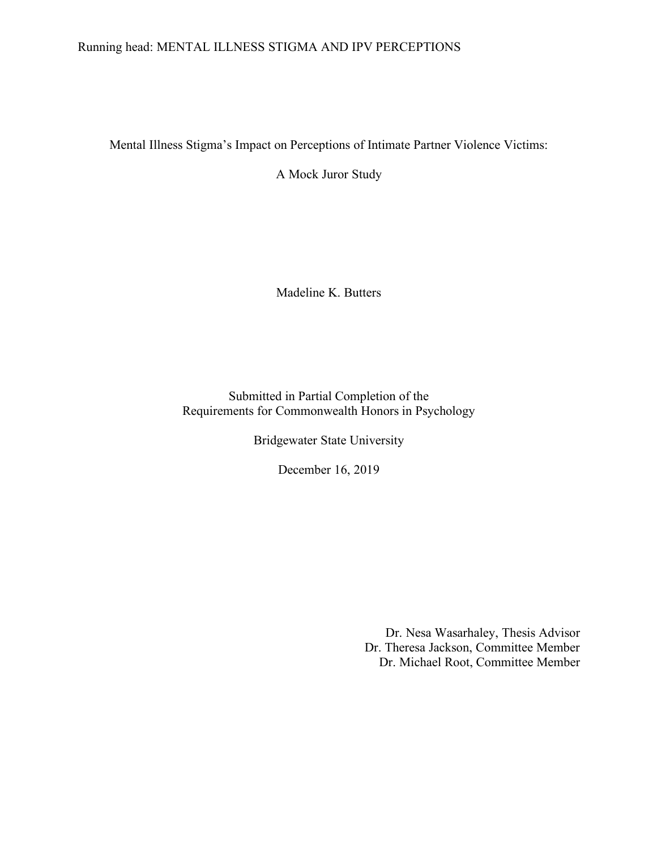# Running head: MENTAL ILLNESS STIGMA AND IPV PERCEPTIONS

Mental Illness Stigma's Impact on Perceptions of Intimate Partner Violence Victims:

A Mock Juror Study

Madeline K. Butters

Submitted in Partial Completion of the Requirements for Commonwealth Honors in Psychology

Bridgewater State University

December 16, 2019

Dr. Nesa Wasarhaley, Thesis Advisor Dr. Theresa Jackson, Committee Member Dr. Michael Root, Committee Member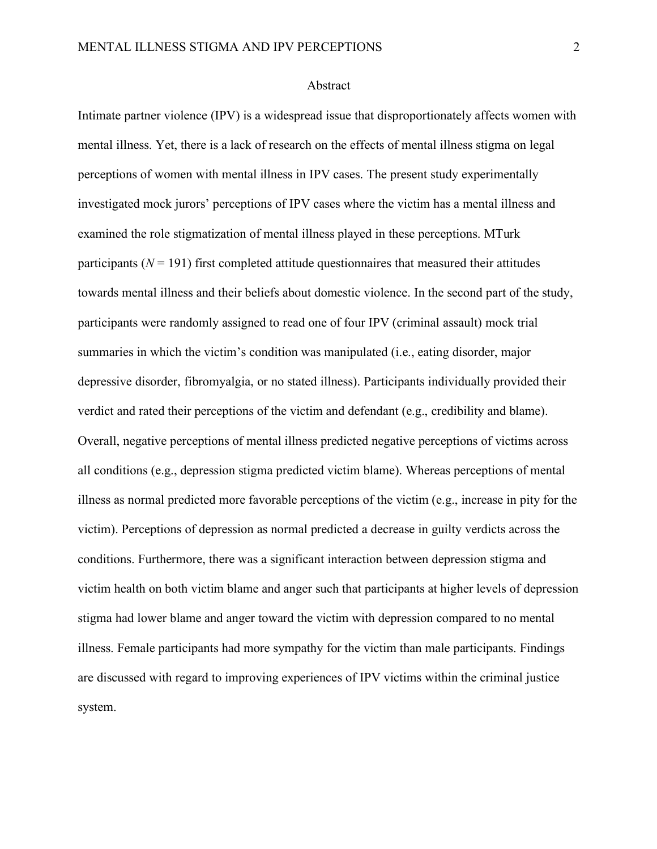#### Abstract

Intimate partner violence (IPV) is a widespread issue that disproportionately affects women with mental illness. Yet, there is a lack of research on the effects of mental illness stigma on legal perceptions of women with mental illness in IPV cases. The present study experimentally investigated mock jurors' perceptions of IPV cases where the victim has a mental illness and examined the role stigmatization of mental illness played in these perceptions. MTurk participants ( $N = 191$ ) first completed attitude questionnaires that measured their attitudes towards mental illness and their beliefs about domestic violence. In the second part of the study, participants were randomly assigned to read one of four IPV (criminal assault) mock trial summaries in which the victim's condition was manipulated (i.e., eating disorder, major depressive disorder, fibromyalgia, or no stated illness). Participants individually provided their verdict and rated their perceptions of the victim and defendant (e.g., credibility and blame). Overall, negative perceptions of mental illness predicted negative perceptions of victims across all conditions (e.g., depression stigma predicted victim blame). Whereas perceptions of mental illness as normal predicted more favorable perceptions of the victim (e.g., increase in pity for the victim). Perceptions of depression as normal predicted a decrease in guilty verdicts across the conditions. Furthermore, there was a significant interaction between depression stigma and victim health on both victim blame and anger such that participants at higher levels of depression stigma had lower blame and anger toward the victim with depression compared to no mental illness. Female participants had more sympathy for the victim than male participants. Findings are discussed with regard to improving experiences of IPV victims within the criminal justice system.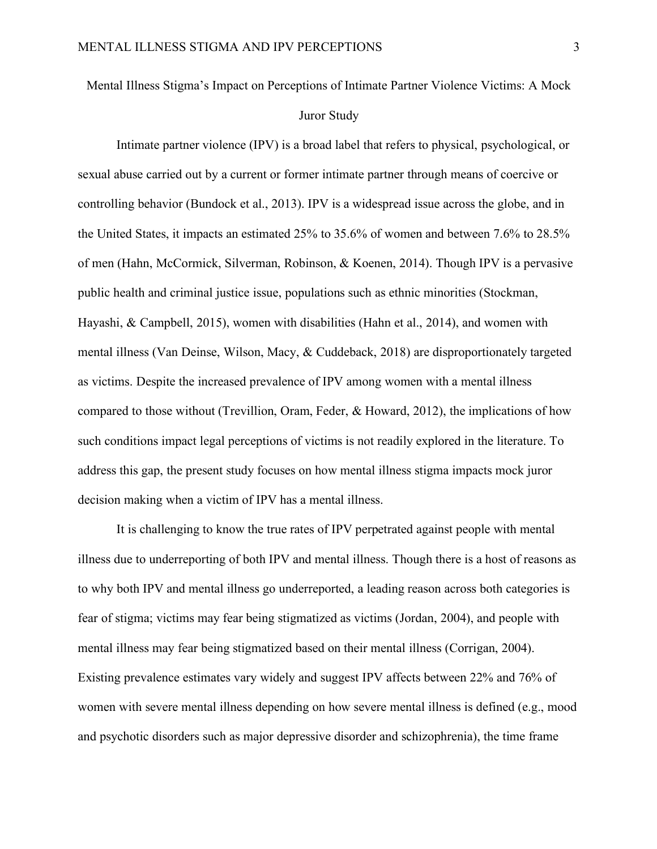Mental Illness Stigma's Impact on Perceptions of Intimate Partner Violence Victims: A Mock Juror Study

Intimate partner violence (IPV) is a broad label that refers to physical, psychological, or sexual abuse carried out by a current or former intimate partner through means of coercive or controlling behavior (Bundock et al., 2013). IPV is a widespread issue across the globe, and in the United States, it impacts an estimated 25% to 35.6% of women and between 7.6% to 28.5% of men (Hahn, McCormick, Silverman, Robinson, & Koenen, 2014). Though IPV is a pervasive public health and criminal justice issue, populations such as ethnic minorities (Stockman, Hayashi, & Campbell, 2015), women with disabilities (Hahn et al., 2014), and women with mental illness (Van Deinse, Wilson, Macy, & Cuddeback, 2018) are disproportionately targeted as victims. Despite the increased prevalence of IPV among women with a mental illness compared to those without (Trevillion, Oram, Feder, & Howard, 2012), the implications of how such conditions impact legal perceptions of victims is not readily explored in the literature. To address this gap, the present study focuses on how mental illness stigma impacts mock juror decision making when a victim of IPV has a mental illness.

It is challenging to know the true rates of IPV perpetrated against people with mental illness due to underreporting of both IPV and mental illness. Though there is a host of reasons as to why both IPV and mental illness go underreported, a leading reason across both categories is fear of stigma; victims may fear being stigmatized as victims (Jordan, 2004), and people with mental illness may fear being stigmatized based on their mental illness (Corrigan, 2004). Existing prevalence estimates vary widely and suggest IPV affects between 22% and 76% of women with severe mental illness depending on how severe mental illness is defined (e.g., mood and psychotic disorders such as major depressive disorder and schizophrenia), the time frame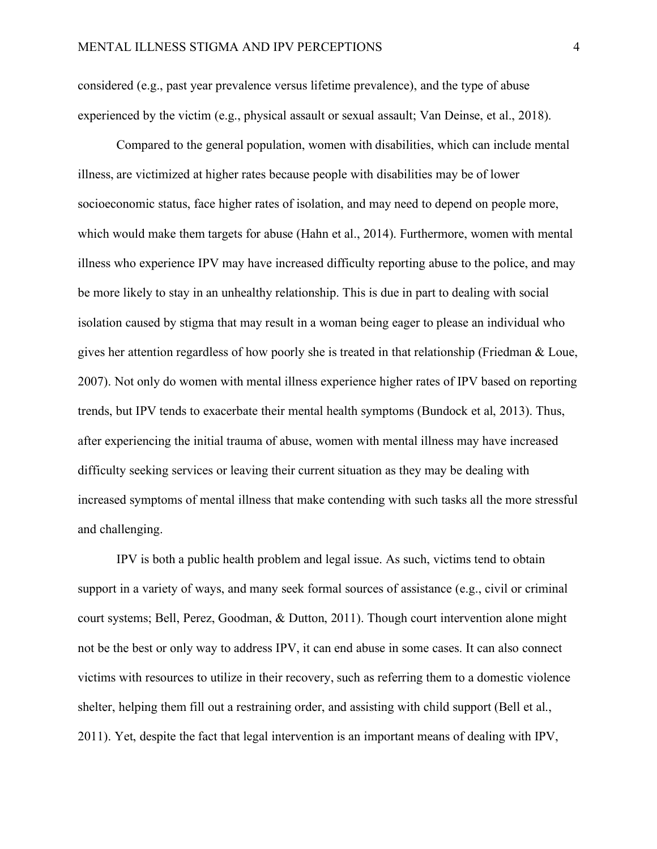considered (e.g., past year prevalence versus lifetime prevalence), and the type of abuse experienced by the victim (e.g., physical assault or sexual assault; Van Deinse, et al., 2018).

Compared to the general population, women with disabilities, which can include mental illness, are victimized at higher rates because people with disabilities may be of lower socioeconomic status, face higher rates of isolation, and may need to depend on people more, which would make them targets for abuse (Hahn et al., 2014). Furthermore, women with mental illness who experience IPV may have increased difficulty reporting abuse to the police, and may be more likely to stay in an unhealthy relationship. This is due in part to dealing with social isolation caused by stigma that may result in a woman being eager to please an individual who gives her attention regardless of how poorly she is treated in that relationship (Friedman & Loue, 2007). Not only do women with mental illness experience higher rates of IPV based on reporting trends, but IPV tends to exacerbate their mental health symptoms (Bundock et al, 2013). Thus, after experiencing the initial trauma of abuse, women with mental illness may have increased difficulty seeking services or leaving their current situation as they may be dealing with increased symptoms of mental illness that make contending with such tasks all the more stressful and challenging.

IPV is both a public health problem and legal issue. As such, victims tend to obtain support in a variety of ways, and many seek formal sources of assistance (e.g., civil or criminal court systems; Bell, Perez, Goodman, & Dutton, 2011). Though court intervention alone might not be the best or only way to address IPV, it can end abuse in some cases. It can also connect victims with resources to utilize in their recovery, such as referring them to a domestic violence shelter, helping them fill out a restraining order, and assisting with child support (Bell et al., 2011). Yet, despite the fact that legal intervention is an important means of dealing with IPV,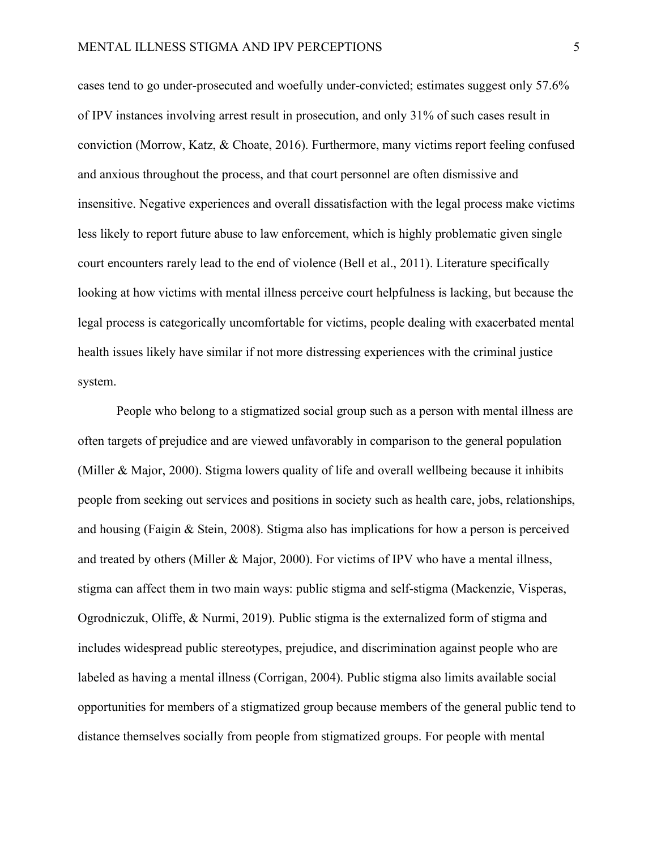cases tend to go under-prosecuted and woefully under-convicted; estimates suggest only 57.6% of IPV instances involving arrest result in prosecution, and only 31% of such cases result in conviction (Morrow, Katz, & Choate, 2016). Furthermore, many victims report feeling confused and anxious throughout the process, and that court personnel are often dismissive and insensitive. Negative experiences and overall dissatisfaction with the legal process make victims less likely to report future abuse to law enforcement, which is highly problematic given single court encounters rarely lead to the end of violence (Bell et al., 2011). Literature specifically looking at how victims with mental illness perceive court helpfulness is lacking, but because the legal process is categorically uncomfortable for victims, people dealing with exacerbated mental health issues likely have similar if not more distressing experiences with the criminal justice system.

People who belong to a stigmatized social group such as a person with mental illness are often targets of prejudice and are viewed unfavorably in comparison to the general population (Miller & Major, 2000). Stigma lowers quality of life and overall wellbeing because it inhibits people from seeking out services and positions in society such as health care, jobs, relationships, and housing (Faigin  $&$  Stein, 2008). Stigma also has implications for how a person is perceived and treated by others (Miller & Major, 2000). For victims of IPV who have a mental illness, stigma can affect them in two main ways: public stigma and self-stigma (Mackenzie, Visperas, Ogrodniczuk, Oliffe, & Nurmi, 2019). Public stigma is the externalized form of stigma and includes widespread public stereotypes, prejudice, and discrimination against people who are labeled as having a mental illness (Corrigan, 2004). Public stigma also limits available social opportunities for members of a stigmatized group because members of the general public tend to distance themselves socially from people from stigmatized groups. For people with mental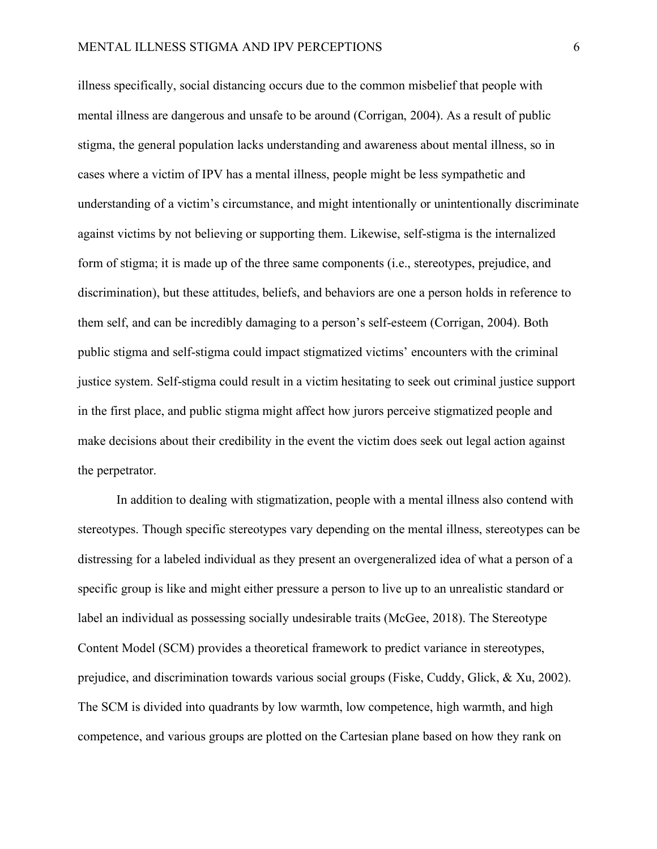illness specifically, social distancing occurs due to the common misbelief that people with mental illness are dangerous and unsafe to be around (Corrigan, 2004). As a result of public stigma, the general population lacks understanding and awareness about mental illness, so in cases where a victim of IPV has a mental illness, people might be less sympathetic and understanding of a victim's circumstance, and might intentionally or unintentionally discriminate against victims by not believing or supporting them. Likewise, self-stigma is the internalized form of stigma; it is made up of the three same components (i.e., stereotypes, prejudice, and discrimination), but these attitudes, beliefs, and behaviors are one a person holds in reference to them self, and can be incredibly damaging to a person's self-esteem (Corrigan, 2004). Both public stigma and self-stigma could impact stigmatized victims' encounters with the criminal justice system. Self-stigma could result in a victim hesitating to seek out criminal justice support in the first place, and public stigma might affect how jurors perceive stigmatized people and make decisions about their credibility in the event the victim does seek out legal action against the perpetrator.

In addition to dealing with stigmatization, people with a mental illness also contend with stereotypes. Though specific stereotypes vary depending on the mental illness, stereotypes can be distressing for a labeled individual as they present an overgeneralized idea of what a person of a specific group is like and might either pressure a person to live up to an unrealistic standard or label an individual as possessing socially undesirable traits (McGee, 2018). The Stereotype Content Model (SCM) provides a theoretical framework to predict variance in stereotypes, prejudice, and discrimination towards various social groups (Fiske, Cuddy, Glick, & Xu, 2002). The SCM is divided into quadrants by low warmth, low competence, high warmth, and high competence, and various groups are plotted on the Cartesian plane based on how they rank on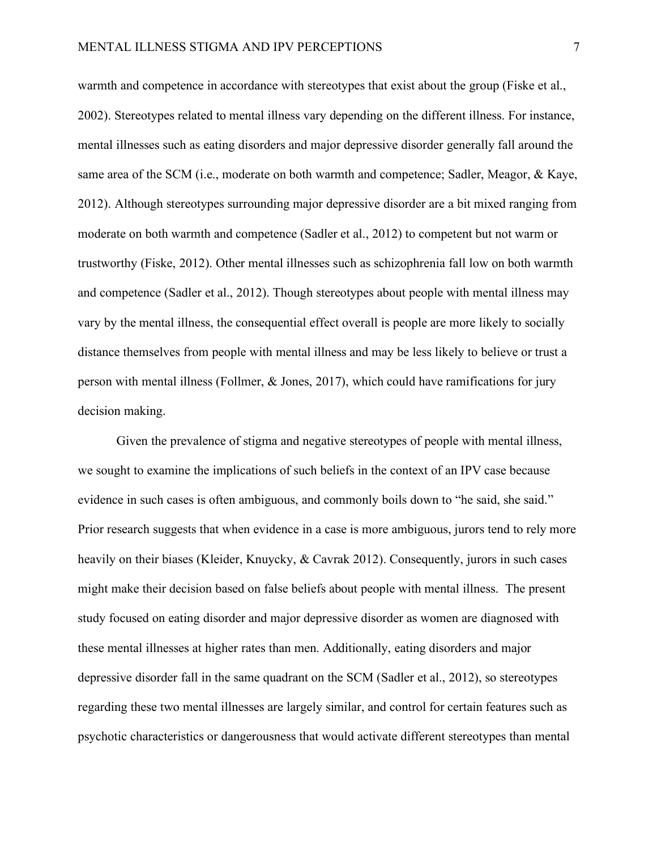warmth and competence in accordance with stereotypes that exist about the group (Fiske et al., 2002). Stereotypes related to mental illness vary depending on the different illness. For instance, mental illnesses such as eating disorders and major depressive disorder generally fall around the same area of the SCM (i.e., moderate on both warmth and competence; Sadler, Meagor, & Kaye, 2012). Although stereotypes surrounding major depressive disorder are a bit mixed ranging from moderate on both warmth and competence (Sadler et al., 2012) to competent but not warm or trustworthy (Fiske, 2012). Other mental illnesses such as schizophrenia fall low on both warmth and competence (Sadler et al., 2012). Though stereotypes about people with mental illness may vary by the mental illness, the consequential effect overall is people are more likely to socially distance themselves from people with mental illness and may be less likely to believe or trust a person with mental illness (Follmer, & Jones, 2017), which could have ramifications for jury decision making.

Given the prevalence of stigma and negative stereotypes of people with mental illness, we sought to examine the implications of such beliefs in the context of an IPV case because evidence in such cases is often ambiguous, and commonly boils down to "he said, she said." Prior research suggests that when evidence in a case is more ambiguous, jurors tend to rely more heavily on their biases (Kleider, Knuycky, & Cavrak 2012). Consequently, jurors in such cases might make their decision based on false beliefs about people with mental illness. The present study focused on eating disorder and major depressive disorder as women are diagnosed with these mental illnesses at higher rates than men. Additionally, eating disorders and major depressive disorder fall in the same quadrant on the SCM (Sadler et al., 2012), so stereotypes regarding these two mental illnesses are largely similar, and control for certain features such as psychotic characteristics or dangerousness that would activate different stereotypes than mental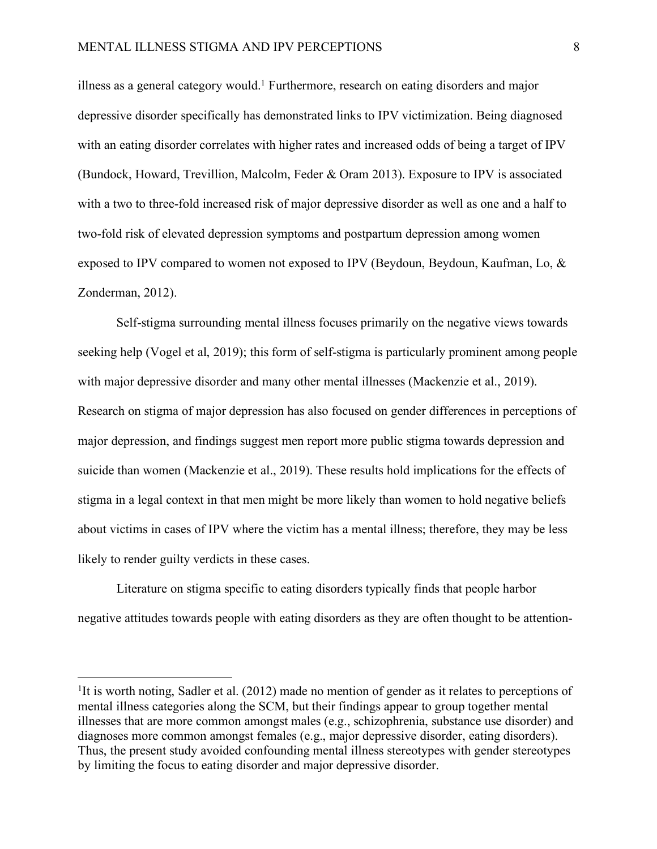illness as a general category would.<sup>1</sup> Furthermore, research on eating disorders and major depressive disorder specifically has demonstrated links to IPV victimization. Being diagnosed with an eating disorder correlates with higher rates and increased odds of being a target of IPV (Bundock, Howard, Trevillion, Malcolm, Feder & Oram 2013). Exposure to IPV is associated with a two to three-fold increased risk of major depressive disorder as well as one and a half to two-fold risk of elevated depression symptoms and postpartum depression among women exposed to IPV compared to women not exposed to IPV (Beydoun, Beydoun, Kaufman, Lo, & Zonderman, 2012).

Self-stigma surrounding mental illness focuses primarily on the negative views towards seeking help (Vogel et al, 2019); this form of self-stigma is particularly prominent among people with major depressive disorder and many other mental illnesses (Mackenzie et al., 2019). Research on stigma of major depression has also focused on gender differences in perceptions of major depression, and findings suggest men report more public stigma towards depression and suicide than women (Mackenzie et al., 2019). These results hold implications for the effects of stigma in a legal context in that men might be more likely than women to hold negative beliefs about victims in cases of IPV where the victim has a mental illness; therefore, they may be less likely to render guilty verdicts in these cases.

Literature on stigma specific to eating disorders typically finds that people harbor negative attitudes towards people with eating disorders as they are often thought to be attention-

<sup>&</sup>lt;sup>1</sup>It is worth noting, Sadler et al. (2012) made no mention of gender as it relates to perceptions of mental illness categories along the SCM, but their findings appear to group together mental illnesses that are more common amongst males (e.g., schizophrenia, substance use disorder) and diagnoses more common amongst females (e.g., major depressive disorder, eating disorders). Thus, the present study avoided confounding mental illness stereotypes with gender stereotypes by limiting the focus to eating disorder and major depressive disorder.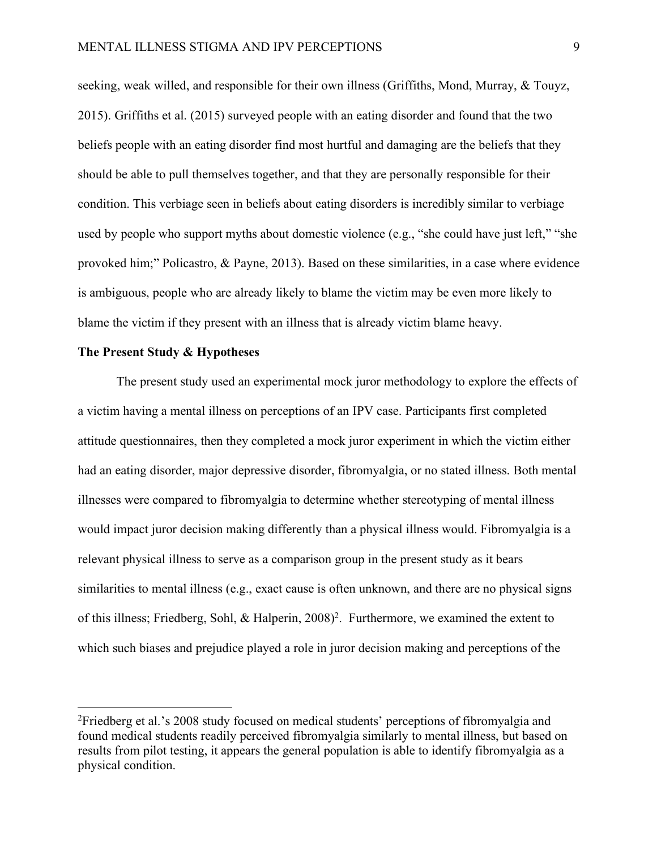seeking, weak willed, and responsible for their own illness (Griffiths, Mond, Murray, & Touyz, 2015). Griffiths et al. (2015) surveyed people with an eating disorder and found that the two beliefs people with an eating disorder find most hurtful and damaging are the beliefs that they should be able to pull themselves together, and that they are personally responsible for their condition. This verbiage seen in beliefs about eating disorders is incredibly similar to verbiage used by people who support myths about domestic violence (e.g., "she could have just left," "she provoked him;" Policastro, & Payne, 2013). Based on these similarities, in a case where evidence is ambiguous, people who are already likely to blame the victim may be even more likely to blame the victim if they present with an illness that is already victim blame heavy.

#### **The Present Study & Hypotheses**

The present study used an experimental mock juror methodology to explore the effects of a victim having a mental illness on perceptions of an IPV case. Participants first completed attitude questionnaires, then they completed a mock juror experiment in which the victim either had an eating disorder, major depressive disorder, fibromyalgia, or no stated illness. Both mental illnesses were compared to fibromyalgia to determine whether stereotyping of mental illness would impact juror decision making differently than a physical illness would. Fibromyalgia is a relevant physical illness to serve as a comparison group in the present study as it bears similarities to mental illness (e.g., exact cause is often unknown, and there are no physical signs of this illness; Friedberg, Sohl, & Halperin, 2008)<sup>2</sup>. Furthermore, we examined the extent to which such biases and prejudice played a role in juror decision making and perceptions of the

 <sup>2</sup>Friedberg et al.'s 2008 study focused on medical students' perceptions of fibromyalgia and found medical students readily perceived fibromyalgia similarly to mental illness, but based on results from pilot testing, it appears the general population is able to identify fibromyalgia as a physical condition.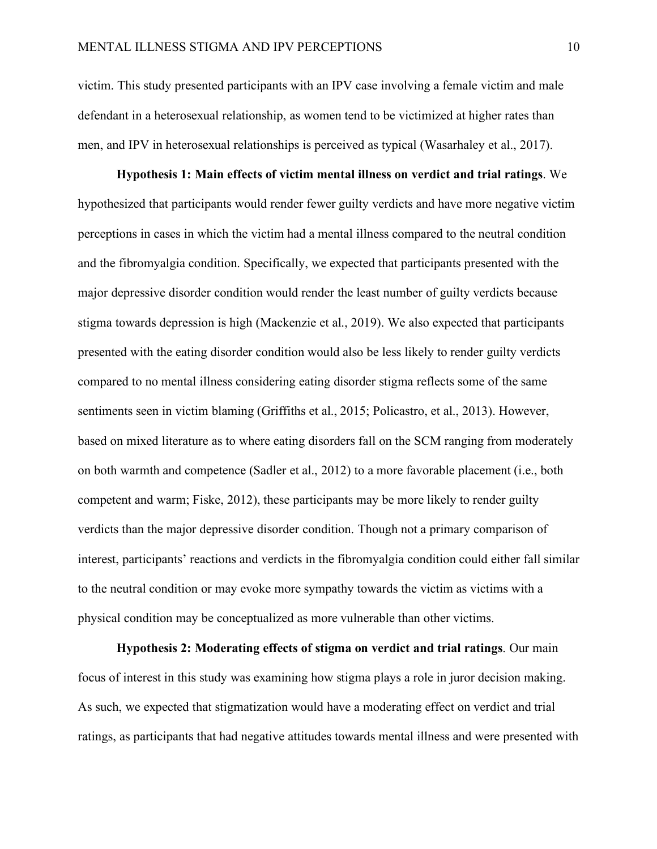victim. This study presented participants with an IPV case involving a female victim and male defendant in a heterosexual relationship, as women tend to be victimized at higher rates than men, and IPV in heterosexual relationships is perceived as typical (Wasarhaley et al., 2017).

**Hypothesis 1: Main effects of victim mental illness on verdict and trial ratings**. We hypothesized that participants would render fewer guilty verdicts and have more negative victim perceptions in cases in which the victim had a mental illness compared to the neutral condition and the fibromyalgia condition. Specifically, we expected that participants presented with the major depressive disorder condition would render the least number of guilty verdicts because stigma towards depression is high (Mackenzie et al., 2019). We also expected that participants presented with the eating disorder condition would also be less likely to render guilty verdicts compared to no mental illness considering eating disorder stigma reflects some of the same sentiments seen in victim blaming (Griffiths et al., 2015; Policastro, et al., 2013). However, based on mixed literature as to where eating disorders fall on the SCM ranging from moderately on both warmth and competence (Sadler et al., 2012) to a more favorable placement (i.e., both competent and warm; Fiske, 2012), these participants may be more likely to render guilty verdicts than the major depressive disorder condition. Though not a primary comparison of interest, participants' reactions and verdicts in the fibromyalgia condition could either fall similar to the neutral condition or may evoke more sympathy towards the victim as victims with a physical condition may be conceptualized as more vulnerable than other victims.

**Hypothesis 2: Moderating effects of stigma on verdict and trial ratings**. Our main focus of interest in this study was examining how stigma plays a role in juror decision making. As such, we expected that stigmatization would have a moderating effect on verdict and trial ratings, as participants that had negative attitudes towards mental illness and were presented with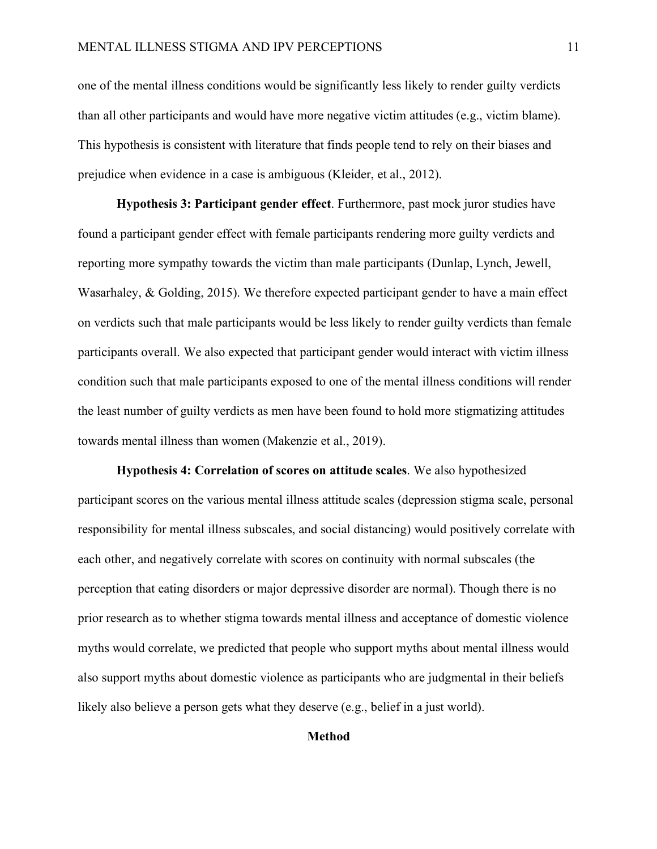one of the mental illness conditions would be significantly less likely to render guilty verdicts than all other participants and would have more negative victim attitudes (e.g., victim blame). This hypothesis is consistent with literature that finds people tend to rely on their biases and prejudice when evidence in a case is ambiguous (Kleider, et al., 2012).

**Hypothesis 3: Participant gender effect**. Furthermore, past mock juror studies have found a participant gender effect with female participants rendering more guilty verdicts and reporting more sympathy towards the victim than male participants (Dunlap, Lynch, Jewell, Wasarhaley, & Golding, 2015). We therefore expected participant gender to have a main effect on verdicts such that male participants would be less likely to render guilty verdicts than female participants overall. We also expected that participant gender would interact with victim illness condition such that male participants exposed to one of the mental illness conditions will render the least number of guilty verdicts as men have been found to hold more stigmatizing attitudes towards mental illness than women (Makenzie et al., 2019).

**Hypothesis 4: Correlation of scores on attitude scales**. We also hypothesized participant scores on the various mental illness attitude scales (depression stigma scale, personal responsibility for mental illness subscales, and social distancing) would positively correlate with each other, and negatively correlate with scores on continuity with normal subscales (the perception that eating disorders or major depressive disorder are normal). Though there is no prior research as to whether stigma towards mental illness and acceptance of domestic violence myths would correlate, we predicted that people who support myths about mental illness would also support myths about domestic violence as participants who are judgmental in their beliefs likely also believe a person gets what they deserve (e.g., belief in a just world).

### **Method**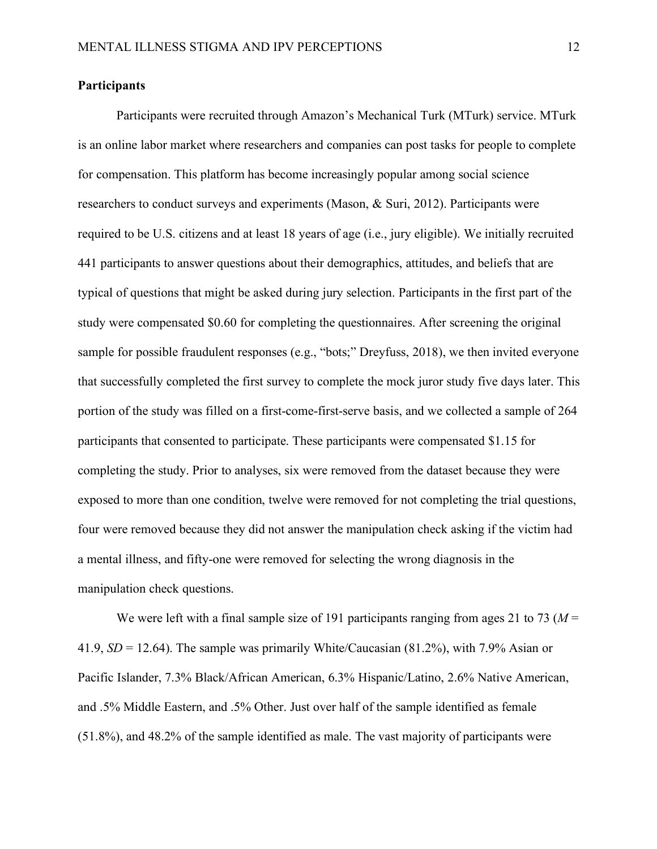## **Participants**

Participants were recruited through Amazon's Mechanical Turk (MTurk) service. MTurk is an online labor market where researchers and companies can post tasks for people to complete for compensation. This platform has become increasingly popular among social science researchers to conduct surveys and experiments (Mason, & Suri, 2012). Participants were required to be U.S. citizens and at least 18 years of age (i.e., jury eligible). We initially recruited 441 participants to answer questions about their demographics, attitudes, and beliefs that are typical of questions that might be asked during jury selection. Participants in the first part of the study were compensated \$0.60 for completing the questionnaires. After screening the original sample for possible fraudulent responses (e.g., "bots;" Dreyfuss, 2018), we then invited everyone that successfully completed the first survey to complete the mock juror study five days later. This portion of the study was filled on a first-come-first-serve basis, and we collected a sample of 264 participants that consented to participate. These participants were compensated \$1.15 for completing the study. Prior to analyses, six were removed from the dataset because they were exposed to more than one condition, twelve were removed for not completing the trial questions, four were removed because they did not answer the manipulation check asking if the victim had a mental illness, and fifty-one were removed for selecting the wrong diagnosis in the manipulation check questions.

We were left with a final sample size of 191 participants ranging from ages 21 to 73 ( $M =$ 41.9, *SD* = 12.64). The sample was primarily White/Caucasian (81.2%), with 7.9% Asian or Pacific Islander, 7.3% Black/African American, 6.3% Hispanic/Latino, 2.6% Native American, and .5% Middle Eastern, and .5% Other. Just over half of the sample identified as female (51.8%), and 48.2% of the sample identified as male. The vast majority of participants were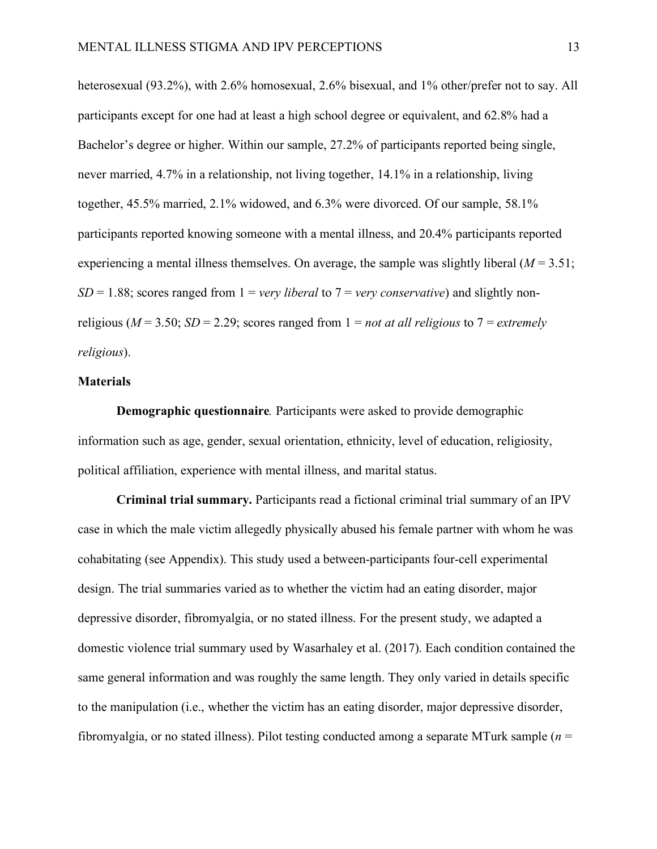heterosexual (93.2%), with 2.6% homosexual, 2.6% bisexual, and 1% other/prefer not to say. All participants except for one had at least a high school degree or equivalent, and 62.8% had a Bachelor's degree or higher. Within our sample, 27.2% of participants reported being single, never married, 4.7% in a relationship, not living together, 14.1% in a relationship, living together, 45.5% married, 2.1% widowed, and 6.3% were divorced. Of our sample, 58.1% participants reported knowing someone with a mental illness, and 20.4% participants reported experiencing a mental illness themselves. On average, the sample was slightly liberal  $(M = 3.51)$ ;  $SD = 1.88$ ; scores ranged from  $1 = \text{very}$  *liberal* to  $7 = \text{very}$  *conservative*) and slightly nonreligious ( $M = 3.50$ ;  $SD = 2.29$ ; scores ranged from  $1 = not$  *at all religious* to  $7 = extremely$ *religious*).

#### **Materials**

**Demographic questionnaire***.* Participants were asked to provide demographic information such as age, gender, sexual orientation, ethnicity, level of education, religiosity, political affiliation, experience with mental illness, and marital status.

**Criminal trial summary.** Participants read a fictional criminal trial summary of an IPV case in which the male victim allegedly physically abused his female partner with whom he was cohabitating (see Appendix). This study used a between-participants four-cell experimental design. The trial summaries varied as to whether the victim had an eating disorder, major depressive disorder, fibromyalgia, or no stated illness. For the present study, we adapted a domestic violence trial summary used by Wasarhaley et al. (2017). Each condition contained the same general information and was roughly the same length. They only varied in details specific to the manipulation (i.e., whether the victim has an eating disorder, major depressive disorder, fibromyalgia, or no stated illness). Pilot testing conducted among a separate MTurk sample (*n* =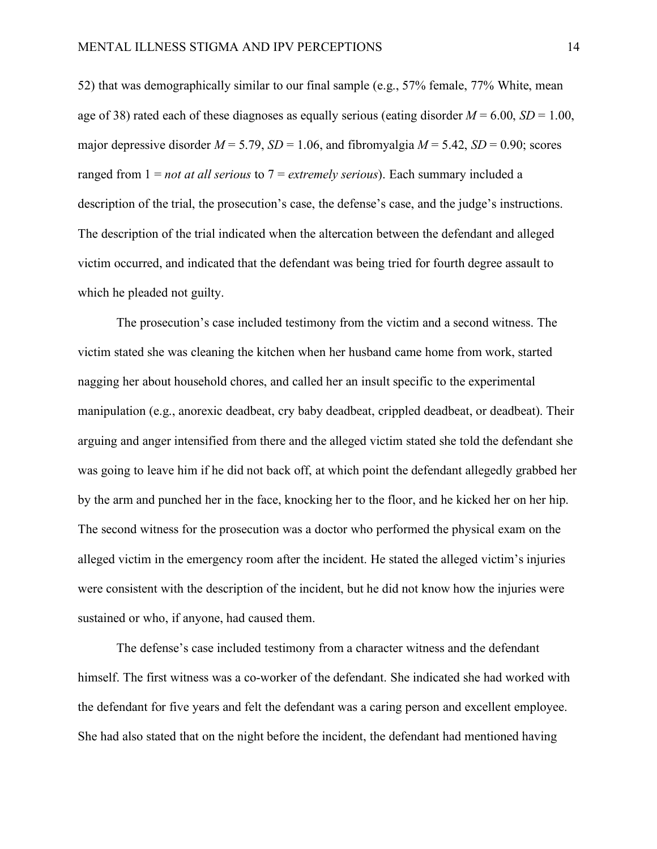52) that was demographically similar to our final sample (e.g., 57% female, 77% White, mean age of 38) rated each of these diagnoses as equally serious (eating disorder  $M = 6.00$ ,  $SD = 1.00$ , major depressive disorder  $M = 5.79$ ,  $SD = 1.06$ , and fibromyalgia  $M = 5.42$ ,  $SD = 0.90$ ; scores ranged from 1 = *not at all serious* to 7 = *extremely serious*). Each summary included a description of the trial, the prosecution's case, the defense's case, and the judge's instructions. The description of the trial indicated when the altercation between the defendant and alleged victim occurred, and indicated that the defendant was being tried for fourth degree assault to which he pleaded not guilty.

The prosecution's case included testimony from the victim and a second witness. The victim stated she was cleaning the kitchen when her husband came home from work, started nagging her about household chores, and called her an insult specific to the experimental manipulation (e.g., anorexic deadbeat, cry baby deadbeat, crippled deadbeat, or deadbeat). Their arguing and anger intensified from there and the alleged victim stated she told the defendant she was going to leave him if he did not back off, at which point the defendant allegedly grabbed her by the arm and punched her in the face, knocking her to the floor, and he kicked her on her hip. The second witness for the prosecution was a doctor who performed the physical exam on the alleged victim in the emergency room after the incident. He stated the alleged victim's injuries were consistent with the description of the incident, but he did not know how the injuries were sustained or who, if anyone, had caused them.

The defense's case included testimony from a character witness and the defendant himself. The first witness was a co-worker of the defendant. She indicated she had worked with the defendant for five years and felt the defendant was a caring person and excellent employee. She had also stated that on the night before the incident, the defendant had mentioned having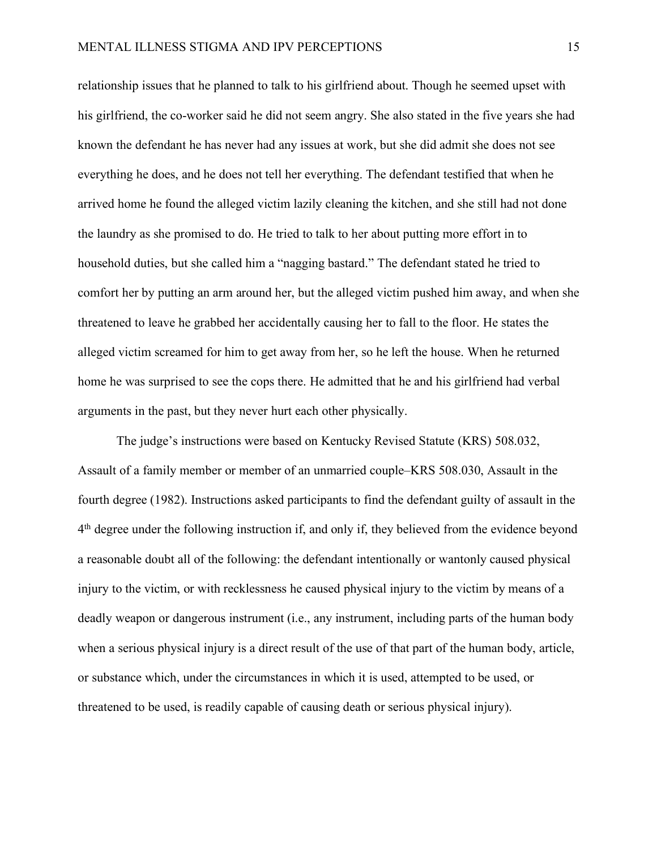relationship issues that he planned to talk to his girlfriend about. Though he seemed upset with his girlfriend, the co-worker said he did not seem angry. She also stated in the five years she had known the defendant he has never had any issues at work, but she did admit she does not see everything he does, and he does not tell her everything. The defendant testified that when he arrived home he found the alleged victim lazily cleaning the kitchen, and she still had not done the laundry as she promised to do. He tried to talk to her about putting more effort in to household duties, but she called him a "nagging bastard." The defendant stated he tried to comfort her by putting an arm around her, but the alleged victim pushed him away, and when she threatened to leave he grabbed her accidentally causing her to fall to the floor. He states the alleged victim screamed for him to get away from her, so he left the house. When he returned home he was surprised to see the cops there. He admitted that he and his girlfriend had verbal arguments in the past, but they never hurt each other physically.

The judge's instructions were based on Kentucky Revised Statute (KRS) 508.032, Assault of a family member or member of an unmarried couple–KRS 508.030, Assault in the fourth degree (1982). Instructions asked participants to find the defendant guilty of assault in the 4th degree under the following instruction if, and only if, they believed from the evidence beyond a reasonable doubt all of the following: the defendant intentionally or wantonly caused physical injury to the victim, or with recklessness he caused physical injury to the victim by means of a deadly weapon or dangerous instrument (i.e., any instrument, including parts of the human body when a serious physical injury is a direct result of the use of that part of the human body, article, or substance which, under the circumstances in which it is used, attempted to be used, or threatened to be used, is readily capable of causing death or serious physical injury).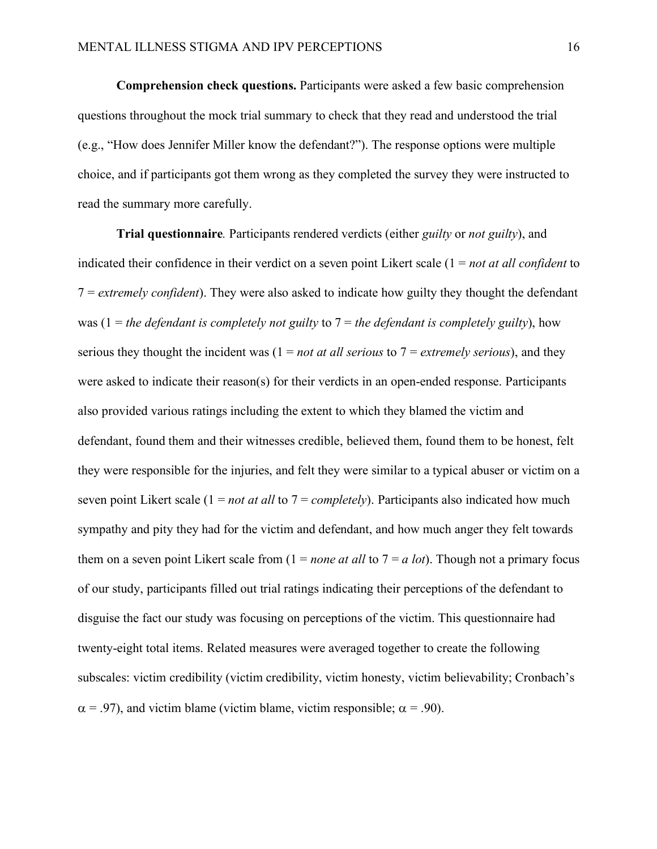**Comprehension check questions.** Participants were asked a few basic comprehension questions throughout the mock trial summary to check that they read and understood the trial (e.g., "How does Jennifer Miller know the defendant?"). The response options were multiple choice, and if participants got them wrong as they completed the survey they were instructed to read the summary more carefully.

**Trial questionnaire***.* Participants rendered verdicts (either *guilty* or *not guilty*), and indicated their confidence in their verdict on a seven point Likert scale (1 = *not at all confident* to 7 = *extremely confident*). They were also asked to indicate how guilty they thought the defendant was (1 = *the defendant is completely not guilty* to 7 = *the defendant is completely guilty*), how serious they thought the incident was (1 = *not at all serious* to 7 = *extremely serious*), and they were asked to indicate their reason(s) for their verdicts in an open-ended response. Participants also provided various ratings including the extent to which they blamed the victim and defendant, found them and their witnesses credible, believed them, found them to be honest, felt they were responsible for the injuries, and felt they were similar to a typical abuser or victim on a seven point Likert scale (1 = *not at all* to 7 = *completely*). Participants also indicated how much sympathy and pity they had for the victim and defendant, and how much anger they felt towards them on a seven point Likert scale from  $(1 = none at all to 7 = a lot)$ . Though not a primary focus of our study, participants filled out trial ratings indicating their perceptions of the defendant to disguise the fact our study was focusing on perceptions of the victim. This questionnaire had twenty-eight total items. Related measures were averaged together to create the following subscales: victim credibility (victim credibility, victim honesty, victim believability; Cronbach's  $\alpha$  = .97), and victim blame (victim blame, victim responsible;  $\alpha$  = .90).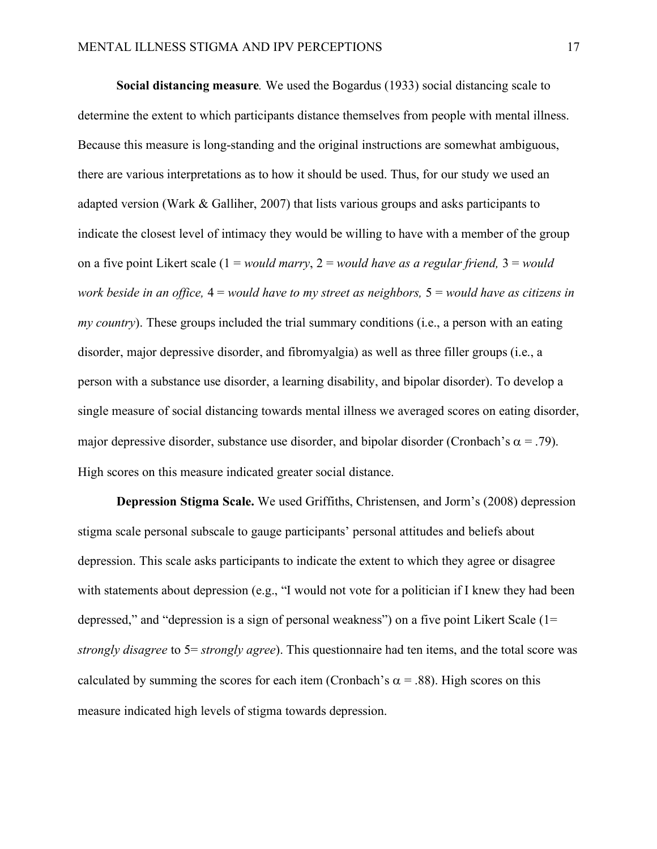**Social distancing measure***.* We used the Bogardus (1933) social distancing scale to determine the extent to which participants distance themselves from people with mental illness. Because this measure is long-standing and the original instructions are somewhat ambiguous, there are various interpretations as to how it should be used. Thus, for our study we used an adapted version (Wark & Galliher, 2007) that lists various groups and asks participants to indicate the closest level of intimacy they would be willing to have with a member of the group on a five point Likert scale (1 = *would marry*, 2 = *would have as a regular friend,* 3 = *would work beside in an office,* 4 = *would have to my street as neighbors,* 5 = *would have as citizens in my country*). These groups included the trial summary conditions (i.e., a person with an eating disorder, major depressive disorder, and fibromyalgia) as well as three filler groups (i.e., a person with a substance use disorder, a learning disability, and bipolar disorder). To develop a single measure of social distancing towards mental illness we averaged scores on eating disorder, major depressive disorder, substance use disorder, and bipolar disorder (Cronbach's  $\alpha$  = .79). High scores on this measure indicated greater social distance.

**Depression Stigma Scale.** We used Griffiths, Christensen, and Jorm's (2008) depression stigma scale personal subscale to gauge participants' personal attitudes and beliefs about depression. This scale asks participants to indicate the extent to which they agree or disagree with statements about depression (e.g., "I would not vote for a politician if I knew they had been depressed," and "depression is a sign of personal weakness") on a five point Likert Scale (1= *strongly disagree* to 5= *strongly agree*). This questionnaire had ten items, and the total score was calculated by summing the scores for each item (Cronbach's  $\alpha$  = .88). High scores on this measure indicated high levels of stigma towards depression.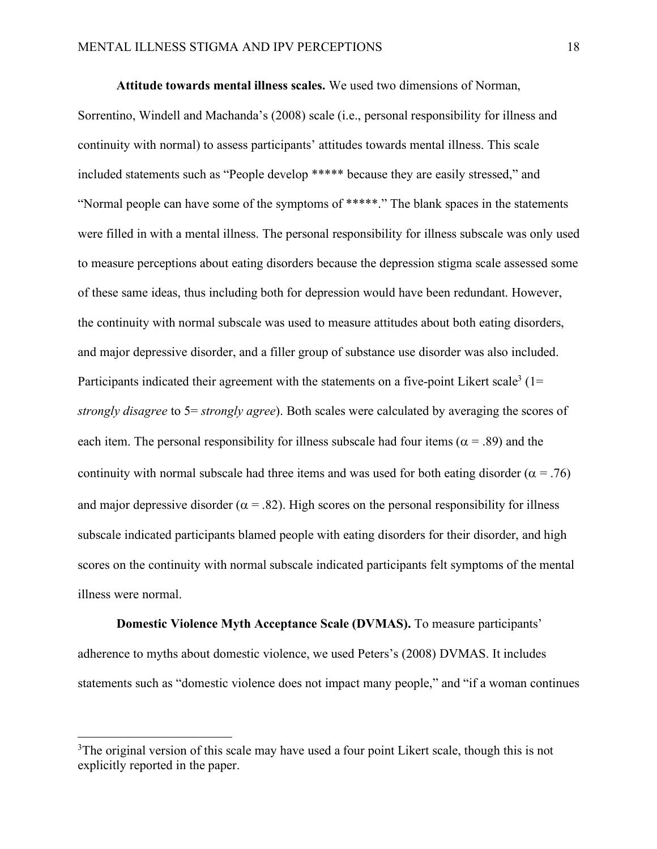**Attitude towards mental illness scales.** We used two dimensions of Norman,

Sorrentino, Windell and Machanda's (2008) scale (i.e., personal responsibility for illness and continuity with normal) to assess participants' attitudes towards mental illness. This scale included statements such as "People develop \*\*\*\*\* because they are easily stressed," and "Normal people can have some of the symptoms of \*\*\*\*\*." The blank spaces in the statements were filled in with a mental illness. The personal responsibility for illness subscale was only used to measure perceptions about eating disorders because the depression stigma scale assessed some of these same ideas, thus including both for depression would have been redundant. However, the continuity with normal subscale was used to measure attitudes about both eating disorders, and major depressive disorder, and a filler group of substance use disorder was also included. Participants indicated their agreement with the statements on a five-point Likert scale<sup>3</sup> ( $1=$ *strongly disagree* to 5= *strongly agree*). Both scales were calculated by averaging the scores of each item. The personal responsibility for illness subscale had four items ( $\alpha$  = .89) and the continuity with normal subscale had three items and was used for both eating disorder ( $\alpha$  = .76) and major depressive disorder ( $\alpha$  = .82). High scores on the personal responsibility for illness subscale indicated participants blamed people with eating disorders for their disorder, and high scores on the continuity with normal subscale indicated participants felt symptoms of the mental illness were normal.

**Domestic Violence Myth Acceptance Scale (DVMAS).** To measure participants' adherence to myths about domestic violence, we used Peters's (2008) DVMAS. It includes statements such as "domestic violence does not impact many people," and "if a woman continues

 <sup>3</sup> <sup>3</sup>The original version of this scale may have used a four point Likert scale, though this is not explicitly reported in the paper.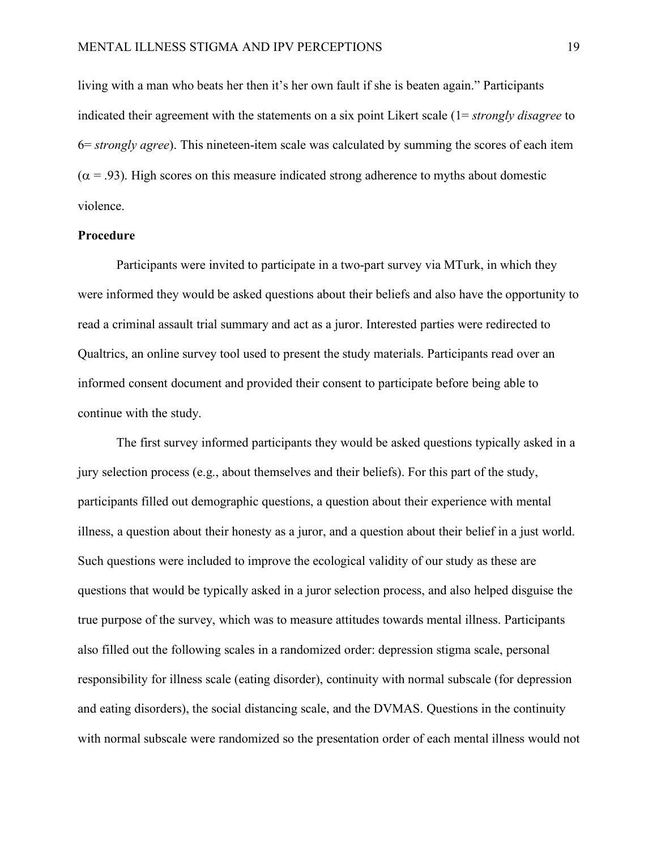living with a man who beats her then it's her own fault if she is beaten again." Participants indicated their agreement with the statements on a six point Likert scale (1= *strongly disagree* to 6= *strongly agree*). This nineteen-item scale was calculated by summing the scores of each item  $(\alpha = .93)$ . High scores on this measure indicated strong adherence to myths about domestic violence.

## **Procedure**

Participants were invited to participate in a two-part survey via MTurk, in which they were informed they would be asked questions about their beliefs and also have the opportunity to read a criminal assault trial summary and act as a juror. Interested parties were redirected to Qualtrics, an online survey tool used to present the study materials. Participants read over an informed consent document and provided their consent to participate before being able to continue with the study.

The first survey informed participants they would be asked questions typically asked in a jury selection process (e.g., about themselves and their beliefs). For this part of the study, participants filled out demographic questions, a question about their experience with mental illness, a question about their honesty as a juror, and a question about their belief in a just world. Such questions were included to improve the ecological validity of our study as these are questions that would be typically asked in a juror selection process, and also helped disguise the true purpose of the survey, which was to measure attitudes towards mental illness. Participants also filled out the following scales in a randomized order: depression stigma scale, personal responsibility for illness scale (eating disorder), continuity with normal subscale (for depression and eating disorders), the social distancing scale, and the DVMAS. Questions in the continuity with normal subscale were randomized so the presentation order of each mental illness would not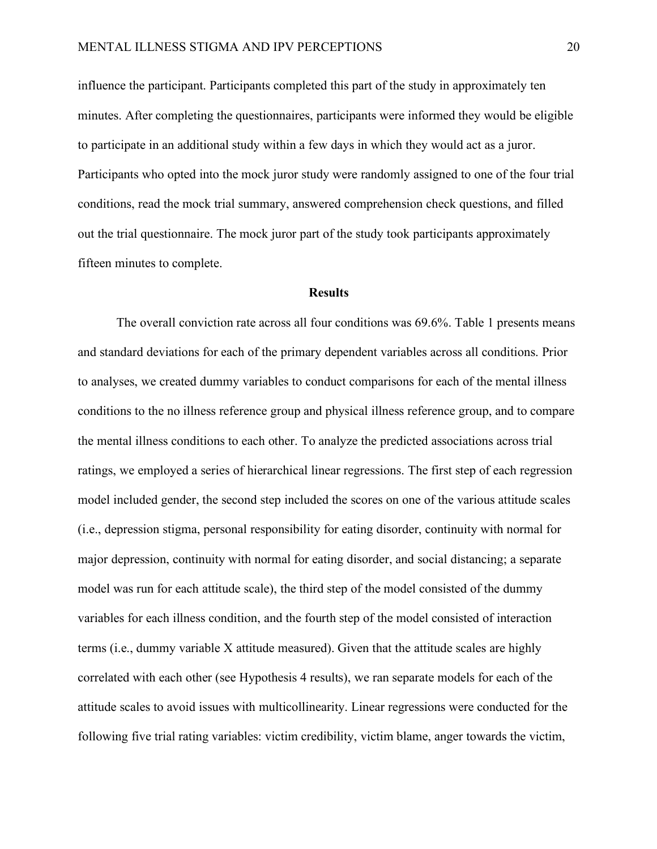influence the participant. Participants completed this part of the study in approximately ten minutes. After completing the questionnaires, participants were informed they would be eligible to participate in an additional study within a few days in which they would act as a juror. Participants who opted into the mock juror study were randomly assigned to one of the four trial conditions, read the mock trial summary, answered comprehension check questions, and filled out the trial questionnaire. The mock juror part of the study took participants approximately fifteen minutes to complete.

#### **Results**

The overall conviction rate across all four conditions was 69.6%. Table 1 presents means and standard deviations for each of the primary dependent variables across all conditions. Prior to analyses, we created dummy variables to conduct comparisons for each of the mental illness conditions to the no illness reference group and physical illness reference group, and to compare the mental illness conditions to each other. To analyze the predicted associations across trial ratings, we employed a series of hierarchical linear regressions. The first step of each regression model included gender, the second step included the scores on one of the various attitude scales (i.e., depression stigma, personal responsibility for eating disorder, continuity with normal for major depression, continuity with normal for eating disorder, and social distancing; a separate model was run for each attitude scale), the third step of the model consisted of the dummy variables for each illness condition, and the fourth step of the model consisted of interaction terms (i.e., dummy variable X attitude measured). Given that the attitude scales are highly correlated with each other (see Hypothesis 4 results), we ran separate models for each of the attitude scales to avoid issues with multicollinearity. Linear regressions were conducted for the following five trial rating variables: victim credibility, victim blame, anger towards the victim,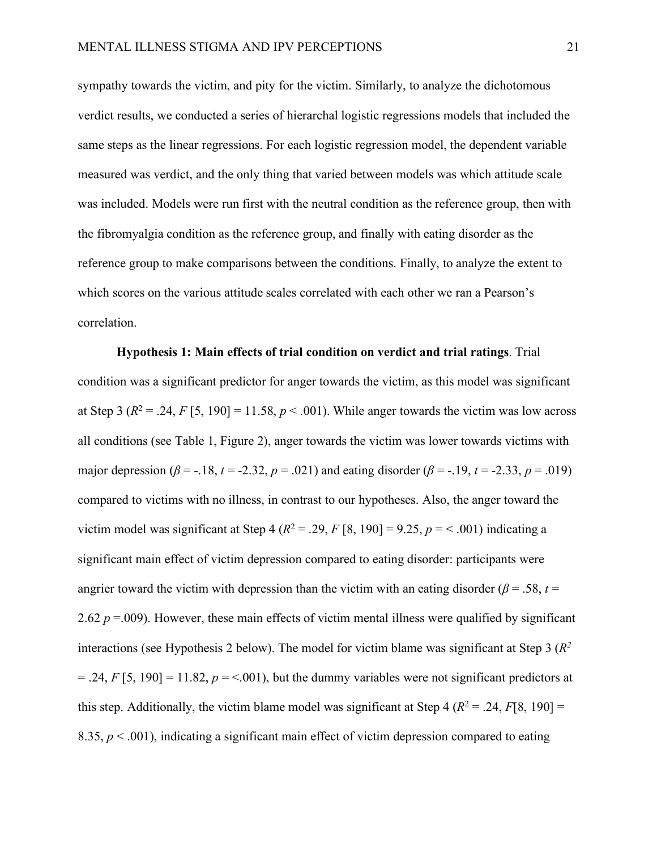sympathy towards the victim, and pity for the victim. Similarly, to analyze the dichotomous verdict results, we conducted a series of hierarchal logistic regressions models that included the same steps as the linear regressions. For each logistic regression model, the dependent variable measured was verdict, and the only thing that varied between models was which attitude scale was included. Models were run first with the neutral condition as the reference group, then with the fibromyalgia condition as the reference group, and finally with eating disorder as the reference group to make comparisons between the conditions. Finally, to analyze the extent to which scores on the various attitude scales correlated with each other we ran a Pearson's correlation.

**Hypothesis 1: Main effects of trial condition on verdict and trial ratings**. Trial condition was a significant predictor for anger towards the victim, as this model was significant at Step 3 ( $R^2 = .24$ ,  $F[5, 190] = 11.58$ ,  $p < .001$ ). While anger towards the victim was low across all conditions (see Table 1, Figure 2), anger towards the victim was lower towards victims with major depression ( $\beta$  = -.18, *t* = -2.32, *p* = .021) and eating disorder ( $\beta$  = -.19, *t* = -2.33, *p* = .019) compared to victims with no illness, in contrast to our hypotheses. Also, the anger toward the victim model was significant at Step 4 ( $R^2 = .29$ ,  $F [8, 190] = 9.25$ ,  $p = < .001$ ) indicating a significant main effect of victim depression compared to eating disorder: participants were angrier toward the victim with depression than the victim with an eating disorder ( $\beta$  = .58, *t* = 2.62  $p = 0.009$ ). However, these main effects of victim mental illness were qualified by significant interactions (see Hypothesis 2 below). The model for victim blame was significant at Step 3 (*R2*  $=$  .24, *F* [5, 190]  $=$  11.82,  $p =$  <.001), but the dummy variables were not significant predictors at this step. Additionally, the victim blame model was significant at Step 4 ( $R^2 = .24$ ,  $F[8, 190] =$ 8.35,  $p < .001$ ), indicating a significant main effect of victim depression compared to eating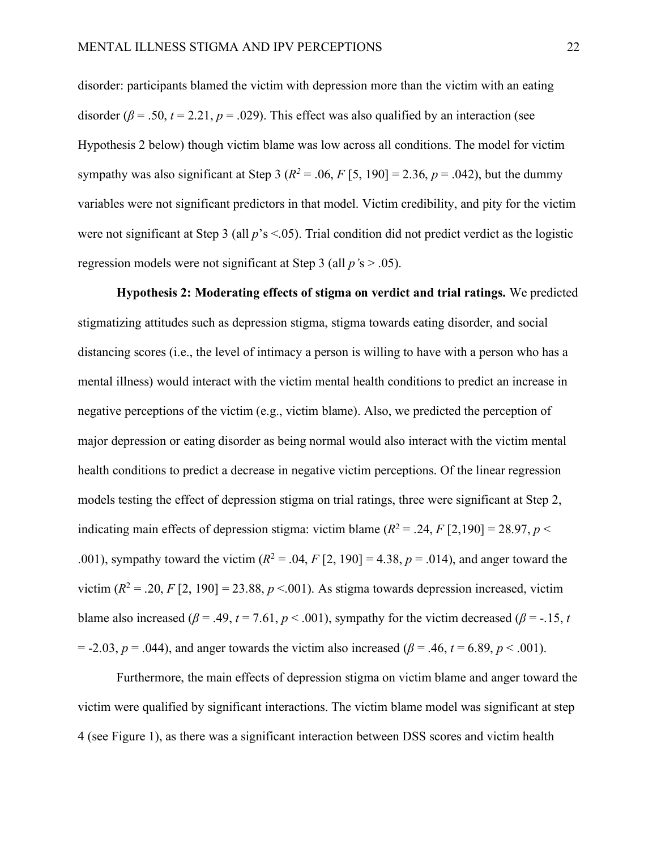disorder: participants blamed the victim with depression more than the victim with an eating disorder ( $\beta$  = .50, *t* = 2.21, *p* = .029). This effect was also qualified by an interaction (see Hypothesis 2 below) though victim blame was low across all conditions. The model for victim sympathy was also significant at Step 3 ( $R^2$  = .06,  $F$  [5, 190] = 2.36,  $p$  = .042), but the dummy variables were not significant predictors in that model. Victim credibility, and pity for the victim were not significant at Step 3 (all  $p$ 's <.05). Trial condition did not predict verdict as the logistic regression models were not significant at Step 3 (all *p'*s > .05).

**Hypothesis 2: Moderating effects of stigma on verdict and trial ratings.** We predicted stigmatizing attitudes such as depression stigma, stigma towards eating disorder, and social distancing scores (i.e., the level of intimacy a person is willing to have with a person who has a mental illness) would interact with the victim mental health conditions to predict an increase in negative perceptions of the victim (e.g., victim blame). Also, we predicted the perception of major depression or eating disorder as being normal would also interact with the victim mental health conditions to predict a decrease in negative victim perceptions. Of the linear regression models testing the effect of depression stigma on trial ratings, three were significant at Step 2, indicating main effects of depression stigma: victim blame  $(R^2 = .24, F[2.190] = 28.97, p <$ .001), sympathy toward the victim  $(R^2 = .04, F [2, 190] = 4.38, p = .014)$ , and anger toward the victim  $(R^2 = .20, F[2, 190] = 23.88, p < .001)$ . As stigma towards depression increased, victim blame also increased ( $\beta$  = .49,  $t$  = 7.61,  $p$  < .001), sympathy for the victim decreased ( $\beta$  = -.15,  $t$  $= -2.03, p = .044$ ), and anger towards the victim also increased ( $\beta = .46, t = 6.89, p < .001$ ).

Furthermore, the main effects of depression stigma on victim blame and anger toward the victim were qualified by significant interactions. The victim blame model was significant at step 4 (see Figure 1), as there was a significant interaction between DSS scores and victim health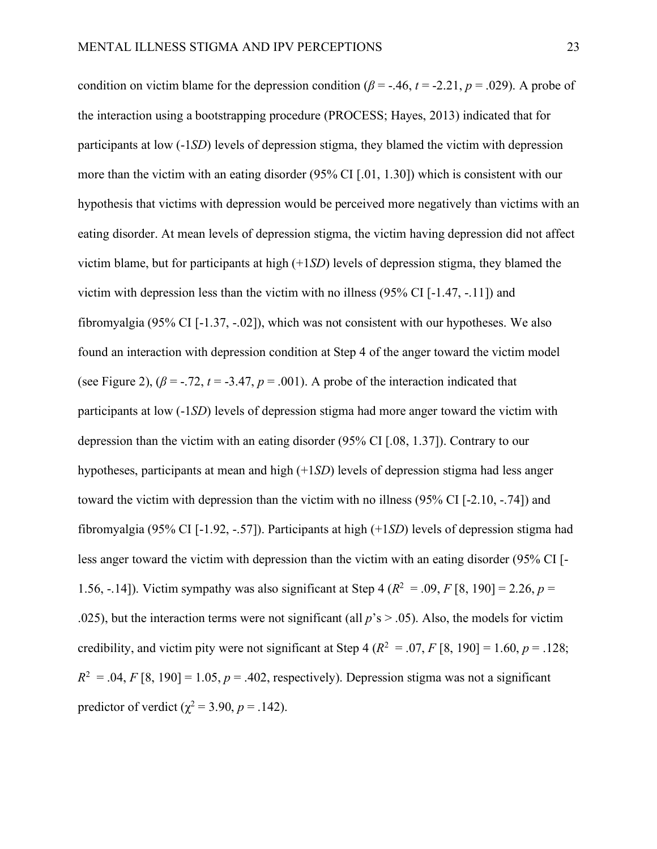condition on victim blame for the depression condition ( $\beta$  = -.46,  $t$  = -2.21,  $p$  = .029). A probe of the interaction using a bootstrapping procedure (PROCESS; Hayes, 2013) indicated that for participants at low (-1*SD*) levels of depression stigma, they blamed the victim with depression more than the victim with an eating disorder (95% CI [.01, 1.30]) which is consistent with our hypothesis that victims with depression would be perceived more negatively than victims with an eating disorder. At mean levels of depression stigma, the victim having depression did not affect victim blame, but for participants at high (+1*SD*) levels of depression stigma, they blamed the victim with depression less than the victim with no illness (95% CI [-1.47, -.11]) and fibromyalgia (95% CI [-1.37, -.02]), which was not consistent with our hypotheses. We also found an interaction with depression condition at Step 4 of the anger toward the victim model (see Figure 2),  $(\beta = -0.72, t = -3.47, p = 0.001)$ . A probe of the interaction indicated that participants at low (-1*SD*) levels of depression stigma had more anger toward the victim with depression than the victim with an eating disorder (95% CI [.08, 1.37]). Contrary to our hypotheses, participants at mean and high (+1*SD*) levels of depression stigma had less anger toward the victim with depression than the victim with no illness (95% CI [-2.10, -.74]) and fibromyalgia (95% CI [-1.92, -.57]). Participants at high (+1*SD*) levels of depression stigma had less anger toward the victim with depression than the victim with an eating disorder (95% CI [- 1.56, -.14]). Victim sympathy was also significant at Step 4 ( $R^2 = .09$ ,  $F[8, 190] = 2.26$ ,  $p =$ .025), but the interaction terms were not significant (all  $p$ 's  $>$  .05). Also, the models for victim credibility, and victim pity were not significant at Step 4 ( $R^2 = .07$ ,  $F [8, 190] = 1.60$ ,  $p = .128$ ;  $R^2 = 0.04$ , *F* [8, 190] = 1.05, *p* = .402, respectively). Depression stigma was not a significant predictor of verdict ( $\chi^2$  = 3.90, *p* = .142).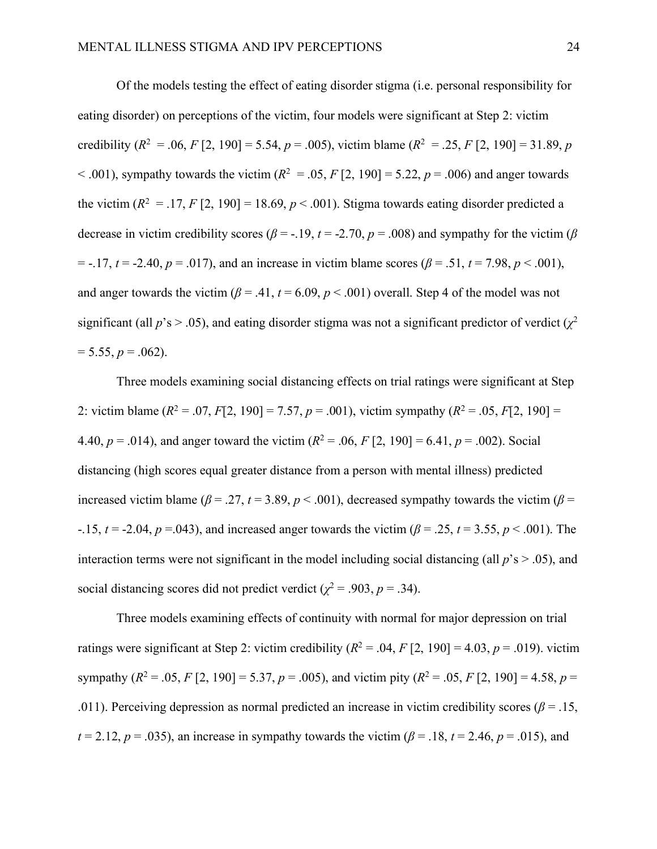Of the models testing the effect of eating disorder stigma (i.e. personal responsibility for eating disorder) on perceptions of the victim, four models were significant at Step 2: victim credibility ( $R^2 = 0.06$ ,  $F [2, 190] = 5.54$ ,  $p = 0.005$ ), victim blame ( $R^2 = 0.25$ ,  $F [2, 190] = 31.89$ , *p*  $< .001$ ), sympathy towards the victim ( $R^2 = .05$ ,  $F[2, 190] = 5.22$ ,  $p = .006$ ) and anger towards the victim  $(R^2 = .17, F[2, 190] = 18.69, p < .001)$ . Stigma towards eating disorder predicted a decrease in victim credibility scores ( $\beta$  = -.19,  $t$  = -2.70,  $p$  = .008) and sympathy for the victim ( $\beta$  $=$  -.17,  $t = -2.40$ ,  $p = .017$ ), and an increase in victim blame scores ( $\beta = .51$ ,  $t = 7.98$ ,  $p < .001$ ), and anger towards the victim  $(\beta = .41, t = 6.09, p < .001)$  overall. Step 4 of the model was not significant (all  $p$ 's  $> 0.05$ ), and eating disorder stigma was not a significant predictor of verdict ( $\chi^2$ )  $= 5.55, p = .062$ .

Three models examining social distancing effects on trial ratings were significant at Step 2: victim blame ( $R^2 = .07$ ,  $F[2, 190] = 7.57$ ,  $p = .001$ ), victim sympathy ( $R^2 = .05$ ,  $F[2, 190] =$ 4.40,  $p = .014$ ), and anger toward the victim  $(R^2 = .06, F [2, 190] = 6.41, p = .002)$ . Social distancing (high scores equal greater distance from a person with mental illness) predicted increased victim blame ( $\beta$  = .27,  $t$  = 3.89,  $p$  < .001), decreased sympathy towards the victim ( $\beta$  = -.15,  $t = -2.04$ ,  $p = -0.043$ ), and increased anger towards the victim ( $\beta = 0.25$ ,  $t = 3.55$ ,  $p < 0.001$ ). The interaction terms were not significant in the model including social distancing (all  $p$ 's  $> .05$ ), and social distancing scores did not predict verdict ( $\chi^2$  = .903, *p* = .34).

Three models examining effects of continuity with normal for major depression on trial ratings were significant at Step 2: victim credibility  $(R^2 = .04, F [2, 190] = 4.03, p = .019)$ . victim sympathy ( $R^2 = .05$ ,  $F [2, 190] = 5.37$ ,  $p = .005$ ), and victim pity ( $R^2 = .05$ ,  $F [2, 190] = 4.58$ ,  $p =$ .011). Perceiving depression as normal predicted an increase in victim credibility scores ( $\beta$  = .15, *t* = 2.12, *p* = .035), an increase in sympathy towards the victim ( $\beta$  = .18, *t* = 2.46, *p* = .015), and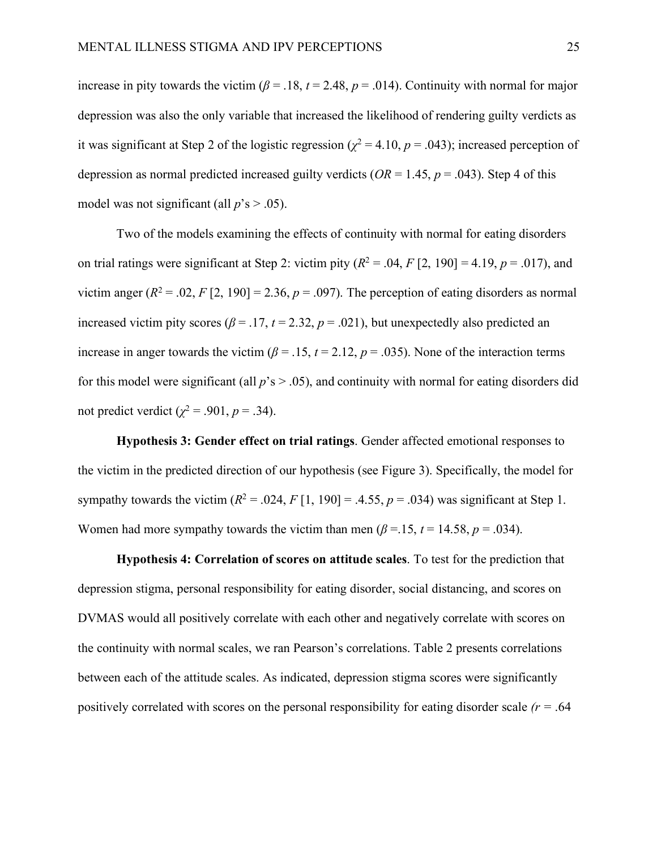increase in pity towards the victim ( $\beta$  = .18,  $t$  = 2.48,  $p$  = .014). Continuity with normal for major depression was also the only variable that increased the likelihood of rendering guilty verdicts as it was significant at Step 2 of the logistic regression ( $\chi^2$  = 4.10, *p* = .043); increased perception of depression as normal predicted increased guilty verdicts ( $OR = 1.45$ ,  $p = .043$ ). Step 4 of this model was not significant (all  $p$ 's  $> .05$ ).

Two of the models examining the effects of continuity with normal for eating disorders on trial ratings were significant at Step 2: victim pity  $(R^2 = .04, F [2, 190] = 4.19, p = .017)$ , and victim anger  $(R^2 = .02, F[2, 190] = 2.36, p = .097)$ . The perception of eating disorders as normal increased victim pity scores ( $\beta$  = .17,  $t$  = 2.32,  $p$  = .021), but unexpectedly also predicted an increase in anger towards the victim ( $\beta$  = .15,  $t$  = 2.12,  $p$  = .035). None of the interaction terms for this model were significant (all  $p$ 's  $> 0.05$ ), and continuity with normal for eating disorders did not predict verdict ( $χ$ <sup>2</sup> = .901, *p* = .34).

**Hypothesis 3: Gender effect on trial ratings**. Gender affected emotional responses to the victim in the predicted direction of our hypothesis (see Figure 3). Specifically, the model for sympathy towards the victim  $(R^2 = .024, F[1, 190] = .4.55, p = .034)$  was significant at Step 1. Women had more sympathy towards the victim than men ( $\beta$  =.15,  $t$  = 14.58,  $p$  = .034).

**Hypothesis 4: Correlation of scores on attitude scales**. To test for the prediction that depression stigma, personal responsibility for eating disorder, social distancing, and scores on DVMAS would all positively correlate with each other and negatively correlate with scores on the continuity with normal scales, we ran Pearson's correlations. Table 2 presents correlations between each of the attitude scales. As indicated, depression stigma scores were significantly positively correlated with scores on the personal responsibility for eating disorder scale *(r =* .64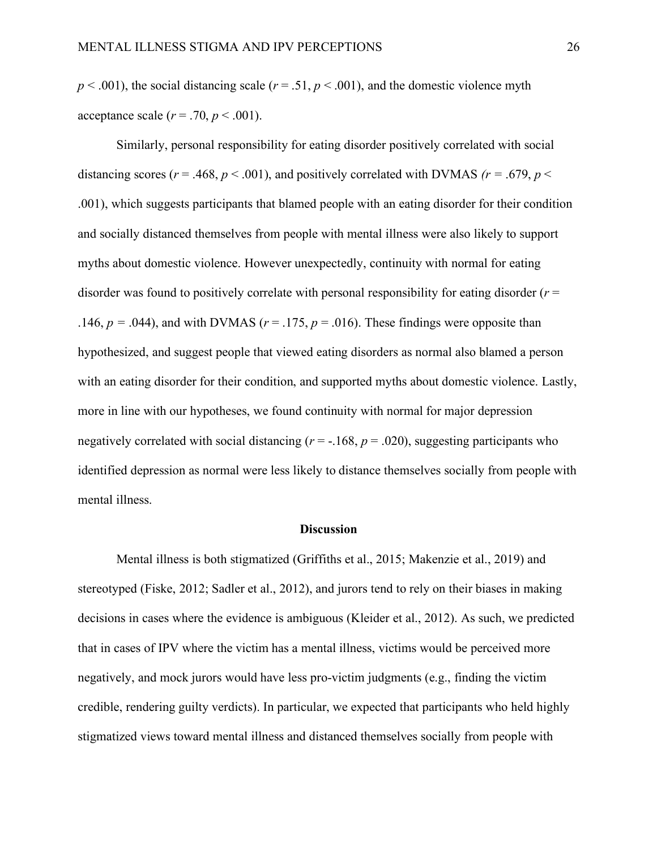$p < .001$ ), the social distancing scale ( $r = .51$ ,  $p < .001$ ), and the domestic violence myth acceptance scale  $(r = .70, p < .001)$ .

Similarly, personal responsibility for eating disorder positively correlated with social distancing scores ( $r = .468$ ,  $p < .001$ ), and positively correlated with DVMAS ( $r = .679$ ,  $p <$ .001), which suggests participants that blamed people with an eating disorder for their condition and socially distanced themselves from people with mental illness were also likely to support myths about domestic violence. However unexpectedly, continuity with normal for eating disorder was found to positively correlate with personal responsibility for eating disorder (*r* = .146,  $p = .044$ ), and with DVMAS ( $r = .175$ ,  $p = .016$ ). These findings were opposite than hypothesized, and suggest people that viewed eating disorders as normal also blamed a person with an eating disorder for their condition, and supported myths about domestic violence. Lastly, more in line with our hypotheses, we found continuity with normal for major depression negatively correlated with social distancing  $(r = -168, p = .020)$ , suggesting participants who identified depression as normal were less likely to distance themselves socially from people with mental illness.

#### **Discussion**

Mental illness is both stigmatized (Griffiths et al., 2015; Makenzie et al., 2019) and stereotyped (Fiske, 2012; Sadler et al., 2012), and jurors tend to rely on their biases in making decisions in cases where the evidence is ambiguous (Kleider et al., 2012). As such, we predicted that in cases of IPV where the victim has a mental illness, victims would be perceived more negatively, and mock jurors would have less pro-victim judgments (e.g., finding the victim credible, rendering guilty verdicts). In particular, we expected that participants who held highly stigmatized views toward mental illness and distanced themselves socially from people with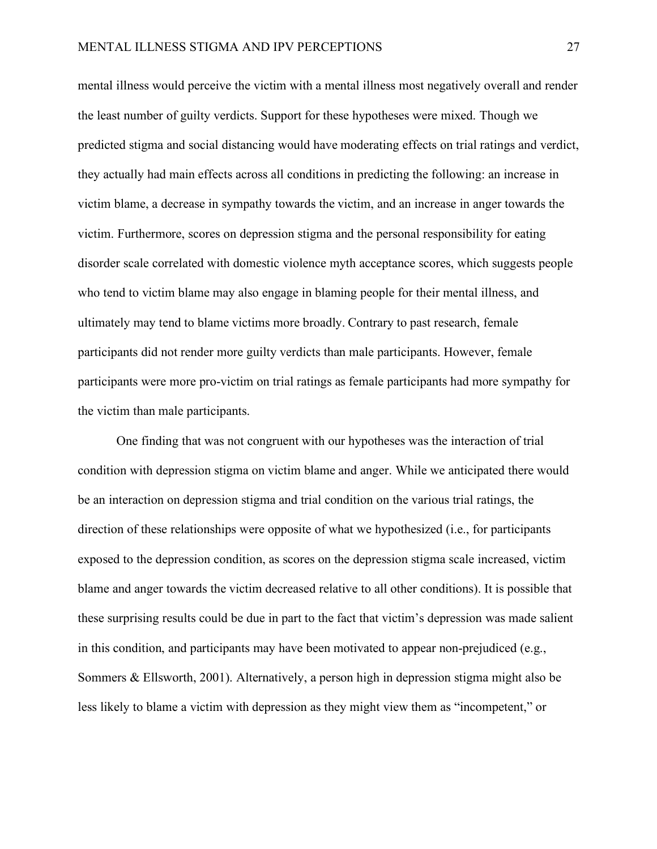mental illness would perceive the victim with a mental illness most negatively overall and render the least number of guilty verdicts. Support for these hypotheses were mixed. Though we predicted stigma and social distancing would have moderating effects on trial ratings and verdict, they actually had main effects across all conditions in predicting the following: an increase in victim blame, a decrease in sympathy towards the victim, and an increase in anger towards the victim. Furthermore, scores on depression stigma and the personal responsibility for eating disorder scale correlated with domestic violence myth acceptance scores, which suggests people who tend to victim blame may also engage in blaming people for their mental illness, and ultimately may tend to blame victims more broadly. Contrary to past research, female participants did not render more guilty verdicts than male participants. However, female participants were more pro-victim on trial ratings as female participants had more sympathy for the victim than male participants.

One finding that was not congruent with our hypotheses was the interaction of trial condition with depression stigma on victim blame and anger. While we anticipated there would be an interaction on depression stigma and trial condition on the various trial ratings, the direction of these relationships were opposite of what we hypothesized (i.e., for participants exposed to the depression condition, as scores on the depression stigma scale increased, victim blame and anger towards the victim decreased relative to all other conditions). It is possible that these surprising results could be due in part to the fact that victim's depression was made salient in this condition, and participants may have been motivated to appear non-prejudiced (e.g., Sommers & Ellsworth, 2001). Alternatively, a person high in depression stigma might also be less likely to blame a victim with depression as they might view them as "incompetent," or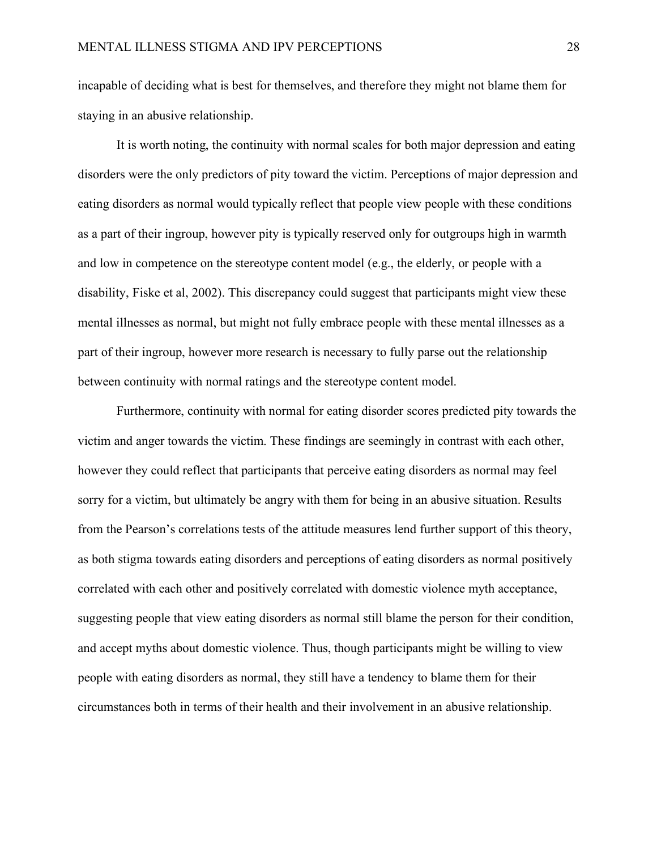incapable of deciding what is best for themselves, and therefore they might not blame them for staying in an abusive relationship.

It is worth noting, the continuity with normal scales for both major depression and eating disorders were the only predictors of pity toward the victim. Perceptions of major depression and eating disorders as normal would typically reflect that people view people with these conditions as a part of their ingroup, however pity is typically reserved only for outgroups high in warmth and low in competence on the stereotype content model (e.g., the elderly, or people with a disability, Fiske et al, 2002). This discrepancy could suggest that participants might view these mental illnesses as normal, but might not fully embrace people with these mental illnesses as a part of their ingroup, however more research is necessary to fully parse out the relationship between continuity with normal ratings and the stereotype content model.

Furthermore, continuity with normal for eating disorder scores predicted pity towards the victim and anger towards the victim. These findings are seemingly in contrast with each other, however they could reflect that participants that perceive eating disorders as normal may feel sorry for a victim, but ultimately be angry with them for being in an abusive situation. Results from the Pearson's correlations tests of the attitude measures lend further support of this theory, as both stigma towards eating disorders and perceptions of eating disorders as normal positively correlated with each other and positively correlated with domestic violence myth acceptance, suggesting people that view eating disorders as normal still blame the person for their condition, and accept myths about domestic violence. Thus, though participants might be willing to view people with eating disorders as normal, they still have a tendency to blame them for their circumstances both in terms of their health and their involvement in an abusive relationship.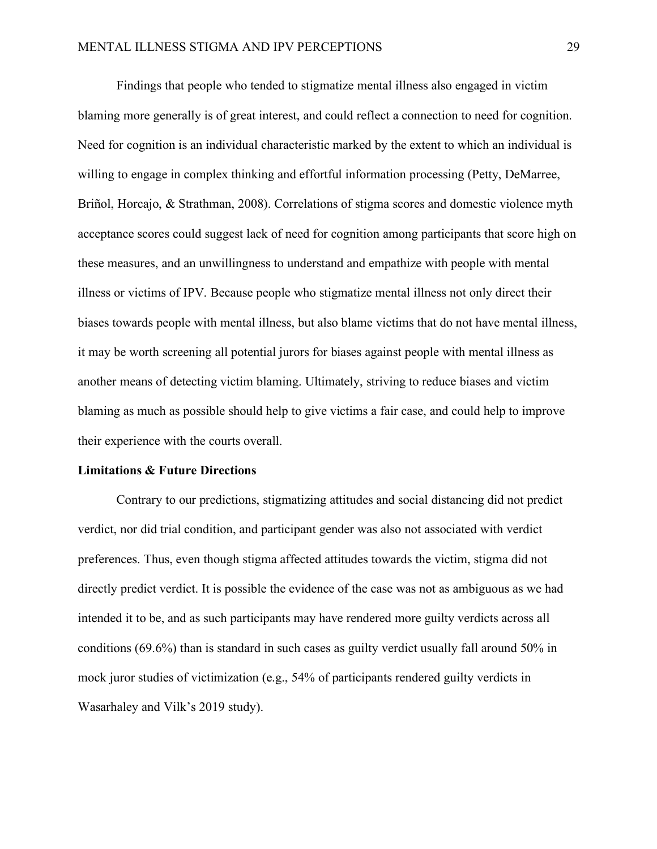Findings that people who tended to stigmatize mental illness also engaged in victim blaming more generally is of great interest, and could reflect a connection to need for cognition. Need for cognition is an individual characteristic marked by the extent to which an individual is willing to engage in complex thinking and effortful information processing (Petty, DeMarree, Briñol, Horcajo, & Strathman, 2008). Correlations of stigma scores and domestic violence myth acceptance scores could suggest lack of need for cognition among participants that score high on these measures, and an unwillingness to understand and empathize with people with mental illness or victims of IPV. Because people who stigmatize mental illness not only direct their biases towards people with mental illness, but also blame victims that do not have mental illness, it may be worth screening all potential jurors for biases against people with mental illness as another means of detecting victim blaming. Ultimately, striving to reduce biases and victim blaming as much as possible should help to give victims a fair case, and could help to improve their experience with the courts overall.

#### **Limitations & Future Directions**

Contrary to our predictions, stigmatizing attitudes and social distancing did not predict verdict, nor did trial condition, and participant gender was also not associated with verdict preferences. Thus, even though stigma affected attitudes towards the victim, stigma did not directly predict verdict. It is possible the evidence of the case was not as ambiguous as we had intended it to be, and as such participants may have rendered more guilty verdicts across all conditions (69.6%) than is standard in such cases as guilty verdict usually fall around 50% in mock juror studies of victimization (e.g., 54% of participants rendered guilty verdicts in Wasarhaley and Vilk's 2019 study).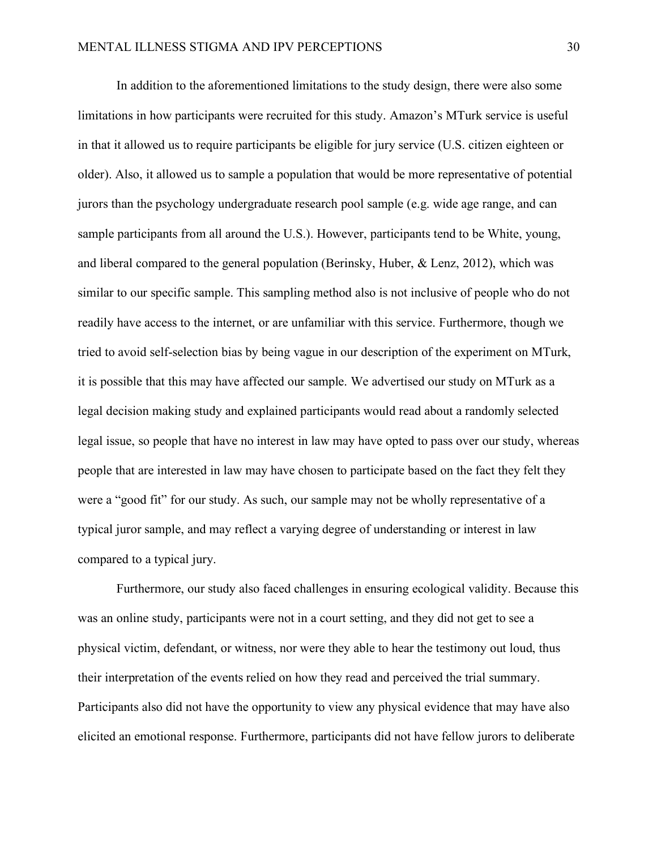In addition to the aforementioned limitations to the study design, there were also some limitations in how participants were recruited for this study. Amazon's MTurk service is useful in that it allowed us to require participants be eligible for jury service (U.S. citizen eighteen or older). Also, it allowed us to sample a population that would be more representative of potential jurors than the psychology undergraduate research pool sample (e.g. wide age range, and can sample participants from all around the U.S.). However, participants tend to be White, young, and liberal compared to the general population (Berinsky, Huber, & Lenz, 2012), which was similar to our specific sample. This sampling method also is not inclusive of people who do not readily have access to the internet, or are unfamiliar with this service. Furthermore, though we tried to avoid self-selection bias by being vague in our description of the experiment on MTurk, it is possible that this may have affected our sample. We advertised our study on MTurk as a legal decision making study and explained participants would read about a randomly selected legal issue, so people that have no interest in law may have opted to pass over our study, whereas people that are interested in law may have chosen to participate based on the fact they felt they were a "good fit" for our study. As such, our sample may not be wholly representative of a typical juror sample, and may reflect a varying degree of understanding or interest in law compared to a typical jury.

Furthermore, our study also faced challenges in ensuring ecological validity. Because this was an online study, participants were not in a court setting, and they did not get to see a physical victim, defendant, or witness, nor were they able to hear the testimony out loud, thus their interpretation of the events relied on how they read and perceived the trial summary. Participants also did not have the opportunity to view any physical evidence that may have also elicited an emotional response. Furthermore, participants did not have fellow jurors to deliberate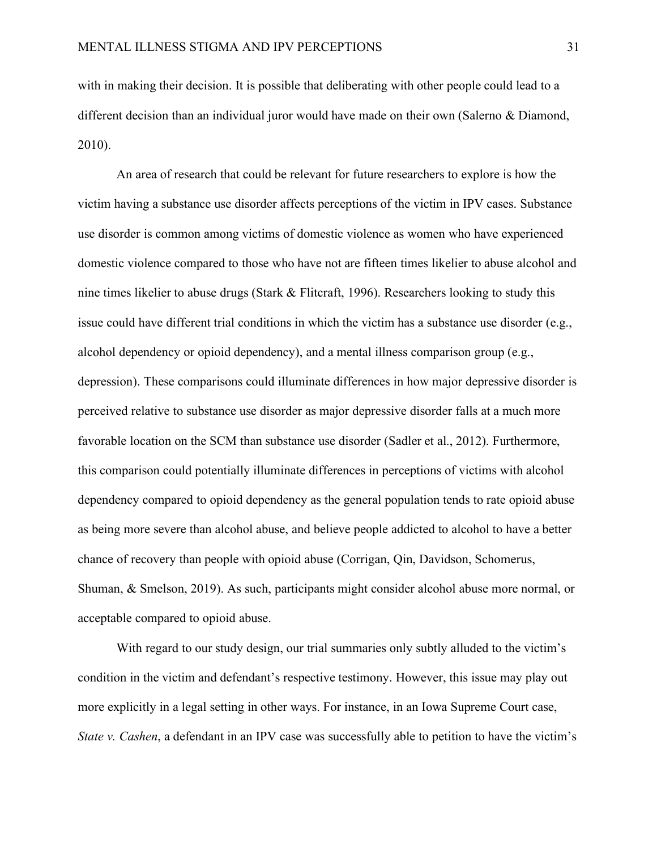with in making their decision. It is possible that deliberating with other people could lead to a different decision than an individual juror would have made on their own (Salerno & Diamond, 2010).

An area of research that could be relevant for future researchers to explore is how the victim having a substance use disorder affects perceptions of the victim in IPV cases. Substance use disorder is common among victims of domestic violence as women who have experienced domestic violence compared to those who have not are fifteen times likelier to abuse alcohol and nine times likelier to abuse drugs (Stark & Flitcraft, 1996). Researchers looking to study this issue could have different trial conditions in which the victim has a substance use disorder (e.g., alcohol dependency or opioid dependency), and a mental illness comparison group (e.g., depression). These comparisons could illuminate differences in how major depressive disorder is perceived relative to substance use disorder as major depressive disorder falls at a much more favorable location on the SCM than substance use disorder (Sadler et al., 2012). Furthermore, this comparison could potentially illuminate differences in perceptions of victims with alcohol dependency compared to opioid dependency as the general population tends to rate opioid abuse as being more severe than alcohol abuse, and believe people addicted to alcohol to have a better chance of recovery than people with opioid abuse (Corrigan, Qin, Davidson, Schomerus, Shuman, & Smelson, 2019). As such, participants might consider alcohol abuse more normal, or acceptable compared to opioid abuse.

With regard to our study design, our trial summaries only subtly alluded to the victim's condition in the victim and defendant's respective testimony. However, this issue may play out more explicitly in a legal setting in other ways. For instance, in an Iowa Supreme Court case, *State v. Cashen*, a defendant in an IPV case was successfully able to petition to have the victim's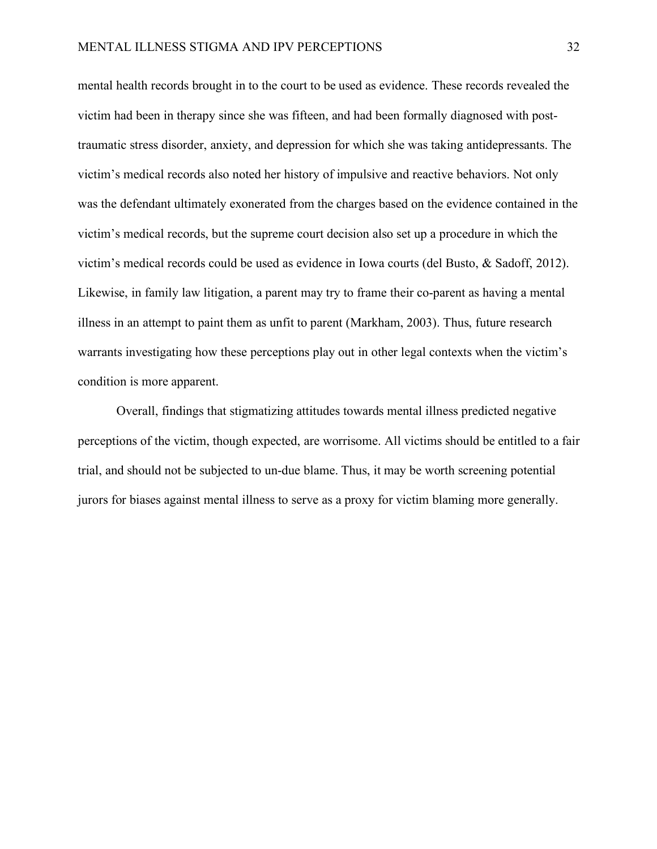mental health records brought in to the court to be used as evidence. These records revealed the victim had been in therapy since she was fifteen, and had been formally diagnosed with posttraumatic stress disorder, anxiety, and depression for which she was taking antidepressants. The victim's medical records also noted her history of impulsive and reactive behaviors. Not only was the defendant ultimately exonerated from the charges based on the evidence contained in the victim's medical records, but the supreme court decision also set up a procedure in which the victim's medical records could be used as evidence in Iowa courts (del Busto, & Sadoff, 2012). Likewise, in family law litigation, a parent may try to frame their co-parent as having a mental illness in an attempt to paint them as unfit to parent (Markham, 2003). Thus, future research warrants investigating how these perceptions play out in other legal contexts when the victim's condition is more apparent.

Overall, findings that stigmatizing attitudes towards mental illness predicted negative perceptions of the victim, though expected, are worrisome. All victims should be entitled to a fair trial, and should not be subjected to un-due blame. Thus, it may be worth screening potential jurors for biases against mental illness to serve as a proxy for victim blaming more generally.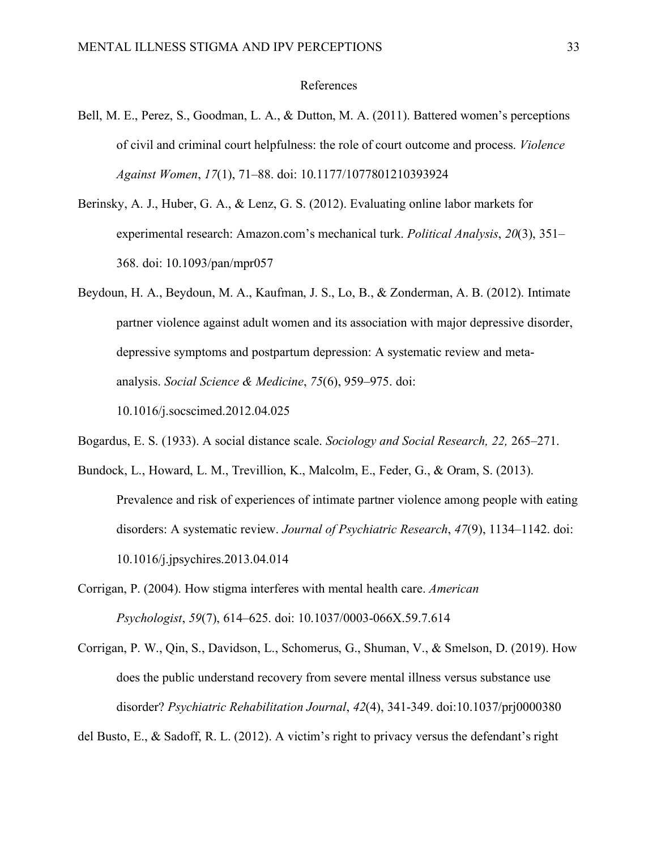#### References

- Bell, M. E., Perez, S., Goodman, L. A., & Dutton, M. A. (2011). Battered women's perceptions of civil and criminal court helpfulness: the role of court outcome and process. *Violence Against Women*, *17*(1), 71–88. doi: 10.1177/1077801210393924
- Berinsky, A. J., Huber, G. A., & Lenz, G. S. (2012). Evaluating online labor markets for experimental research: Amazon.com's mechanical turk. *Political Analysis*, *20*(3), 351– 368. doi: 10.1093/pan/mpr057
- Beydoun, H. A., Beydoun, M. A., Kaufman, J. S., Lo, B., & Zonderman, A. B. (2012). Intimate partner violence against adult women and its association with major depressive disorder, depressive symptoms and postpartum depression: A systematic review and metaanalysis. *Social Science & Medicine*, *75*(6), 959–975. doi: 10.1016/j.socscimed.2012.04.025
- Bogardus, E. S. (1933). A social distance scale. *Sociology and Social Research, 22,* 265–271.
- Bundock, L., Howard, L. M., Trevillion, K., Malcolm, E., Feder, G., & Oram, S. (2013). Prevalence and risk of experiences of intimate partner violence among people with eating disorders: A systematic review. *Journal of Psychiatric Research*, *47*(9), 1134–1142. doi: 10.1016/j.jpsychires.2013.04.014
- Corrigan, P. (2004). How stigma interferes with mental health care. *American Psychologist*, *59*(7), 614–625. doi: 10.1037/0003-066X.59.7.614
- Corrigan, P. W., Qin, S., Davidson, L., Schomerus, G., Shuman, V., & Smelson, D. (2019). How does the public understand recovery from severe mental illness versus substance use disorder? *Psychiatric Rehabilitation Journal*, *42*(4), 341-349. doi:10.1037/prj0000380

del Busto, E., & Sadoff, R. L. (2012). A victim's right to privacy versus the defendant's right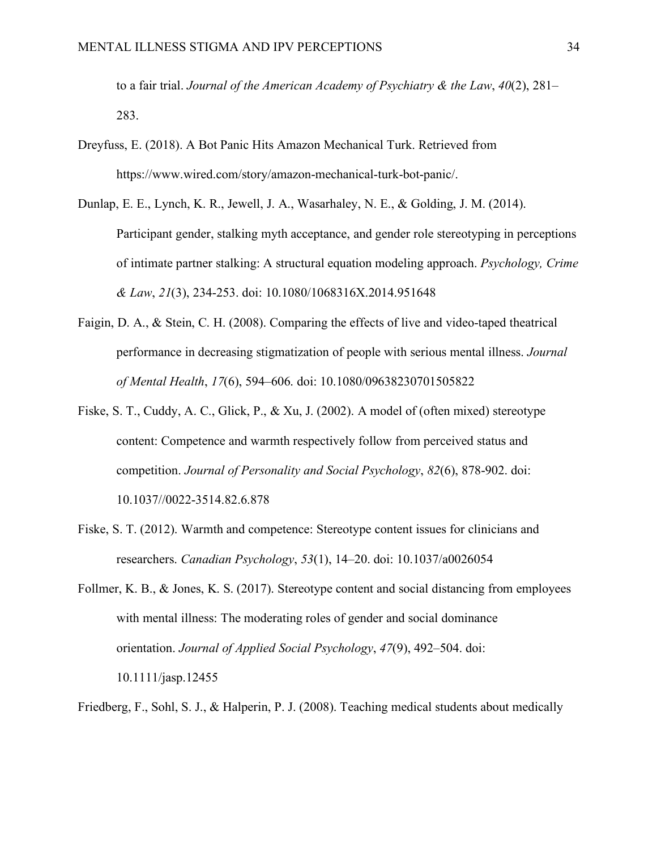to a fair trial. *Journal of the American Academy of Psychiatry & the Law*, *40*(2), 281– 283.

- Dreyfuss, E. (2018). A Bot Panic Hits Amazon Mechanical Turk. Retrieved from https://www.wired.com/story/amazon-mechanical-turk-bot-panic/.
- Dunlap, E. E., Lynch, K. R., Jewell, J. A., Wasarhaley, N. E., & Golding, J. M. (2014). Participant gender, stalking myth acceptance, and gender role stereotyping in perceptions of intimate partner stalking: A structural equation modeling approach. *Psychology, Crime & Law*, *21*(3), 234-253. doi: 10.1080/1068316X.2014.951648
- Faigin, D. A., & Stein, C. H. (2008). Comparing the effects of live and video-taped theatrical performance in decreasing stigmatization of people with serious mental illness. *Journal of Mental Health*, *17*(6), 594–606. doi: 10.1080/09638230701505822
- Fiske, S. T., Cuddy, A. C., Glick, P., & Xu, J. (2002). A model of (often mixed) stereotype content: Competence and warmth respectively follow from perceived status and competition. *Journal of Personality and Social Psychology*, *82*(6), 878-902. doi: 10.1037//0022-3514.82.6.878
- Fiske, S. T. (2012). Warmth and competence: Stereotype content issues for clinicians and researchers. *Canadian Psychology*, *53*(1), 14–20. doi: 10.1037/a0026054
- Follmer, K. B., & Jones, K. S. (2017). Stereotype content and social distancing from employees with mental illness: The moderating roles of gender and social dominance orientation. *Journal of Applied Social Psychology*, *47*(9), 492–504. doi: 10.1111/jasp.12455
- Friedberg, F., Sohl, S. J., & Halperin, P. J. (2008). Teaching medical students about medically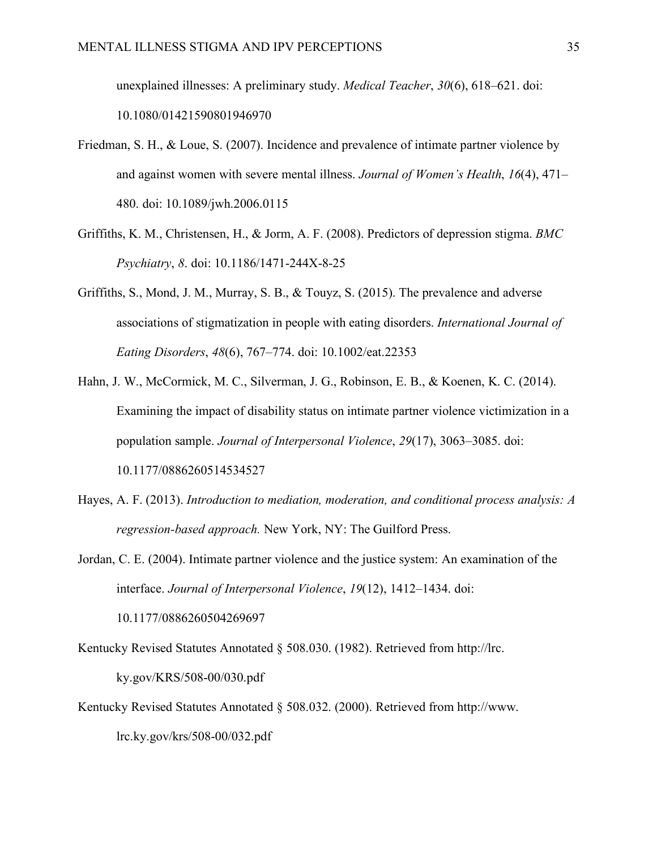unexplained illnesses: A preliminary study. *Medical Teacher*, *30*(6), 618–621. doi: 10.1080/01421590801946970

- Friedman, S. H., & Loue, S. (2007). Incidence and prevalence of intimate partner violence by and against women with severe mental illness. *Journal of Women's Health*, *16*(4), 471– 480. doi: 10.1089/jwh.2006.0115
- Griffiths, K. M., Christensen, H., & Jorm, A. F. (2008). Predictors of depression stigma. *BMC Psychiatry*, *8*. doi: 10.1186/1471-244X-8-25
- Griffiths, S., Mond, J. M., Murray, S. B., & Touyz, S. (2015). The prevalence and adverse associations of stigmatization in people with eating disorders. *International Journal of Eating Disorders*, *48*(6), 767–774. doi: 10.1002/eat.22353
- Hahn, J. W., McCormick, M. C., Silverman, J. G., Robinson, E. B., & Koenen, K. C. (2014). Examining the impact of disability status on intimate partner violence victimization in a population sample. *Journal of Interpersonal Violence*, *29*(17), 3063–3085. doi: 10.1177/0886260514534527
- Hayes, A. F. (2013). *Introduction to mediation, moderation, and conditional process analysis: A regression-based approach.* New York, NY: The Guilford Press.
- Jordan, C. E. (2004). Intimate partner violence and the justice system: An examination of the interface. *Journal of Interpersonal Violence*, *19*(12), 1412–1434. doi:

Kentucky Revised Statutes Annotated § 508.030. (1982). Retrieved from http://lrc. ky.gov/KRS/508-00/030.pdf

10.1177/0886260504269697

Kentucky Revised Statutes Annotated § 508.032. (2000). Retrieved from http://www. lrc.ky.gov/krs/508-00/032.pdf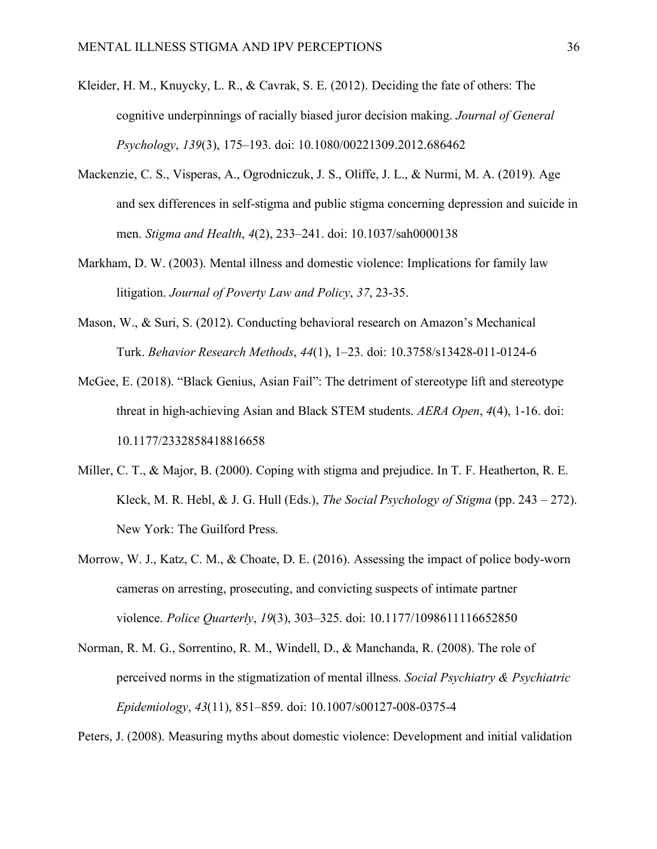- Kleider, H. M., Knuycky, L. R., & Cavrak, S. E. (2012). Deciding the fate of others: The cognitive underpinnings of racially biased juror decision making. *Journal of General Psychology*, *139*(3), 175–193. doi: 10.1080/00221309.2012.686462
- Mackenzie, C. S., Visperas, A., Ogrodniczuk, J. S., Oliffe, J. L., & Nurmi, M. A. (2019). Age and sex differences in self-stigma and public stigma concerning depression and suicide in men. *Stigma and Health*, *4*(2), 233–241. doi: 10.1037/sah0000138
- Markham, D. W. (2003). Mental illness and domestic violence: Implications for family law litigation. *Journal of Poverty Law and Policy*, *37*, 23-35.
- Mason, W., & Suri, S. (2012). Conducting behavioral research on Amazon's Mechanical Turk. *Behavior Research Methods*, *44*(1), 1–23. doi: 10.3758/s13428-011-0124-6
- McGee, E. (2018). "Black Genius, Asian Fail": The detriment of stereotype lift and stereotype threat in high-achieving Asian and Black STEM students. *AERA Open*, *4*(4), 1-16. doi: 10.1177/2332858418816658
- Miller, C. T., & Major, B. (2000). Coping with stigma and prejudice. In T. F. Heatherton, R. E. Kleck, M. R. Hebl, & J. G. Hull (Eds.), *The Social Psychology of Stigma* (pp. 243 – 272). New York: The Guilford Press.
- Morrow, W. J., Katz, C. M., & Choate, D. E. (2016). Assessing the impact of police body-worn cameras on arresting, prosecuting, and convicting suspects of intimate partner violence. *Police Quarterly*, *19*(3), 303–325. doi: 10.1177/1098611116652850
- Norman, R. M. G., Sorrentino, R. M., Windell, D., & Manchanda, R. (2008). The role of perceived norms in the stigmatization of mental illness. *Social Psychiatry & Psychiatric Epidemiology*, *43*(11), 851–859. doi: 10.1007/s00127-008-0375-4

Peters, J. (2008). Measuring myths about domestic violence: Development and initial validation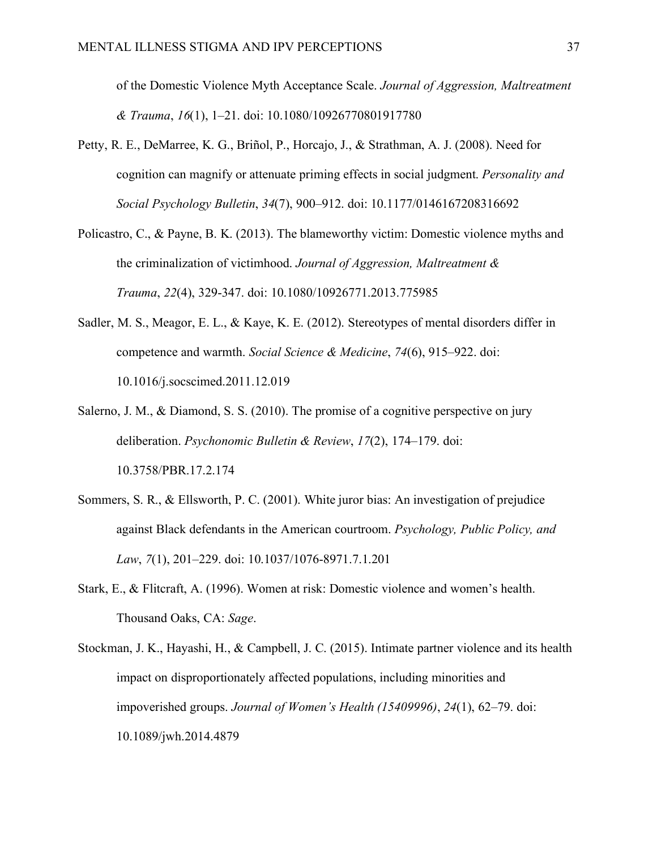of the Domestic Violence Myth Acceptance Scale. *Journal of Aggression, Maltreatment & Trauma*, *16*(1), 1–21. doi: 10.1080/10926770801917780

- Petty, R. E., DeMarree, K. G., Briñol, P., Horcajo, J., & Strathman, A. J. (2008). Need for cognition can magnify or attenuate priming effects in social judgment. *Personality and Social Psychology Bulletin*, *34*(7), 900–912. doi: 10.1177/0146167208316692
- Policastro, C., & Payne, B. K. (2013). The blameworthy victim: Domestic violence myths and the criminalization of victimhood. *Journal of Aggression, Maltreatment & Trauma*, *22*(4), 329-347. doi: 10.1080/10926771.2013.775985
- Sadler, M. S., Meagor, E. L., & Kaye, K. E. (2012). Stereotypes of mental disorders differ in competence and warmth. *Social Science & Medicine*, *74*(6), 915–922. doi: 10.1016/j.socscimed.2011.12.019
- Salerno, J. M., & Diamond, S. S. (2010). The promise of a cognitive perspective on jury deliberation. *Psychonomic Bulletin & Review*, *17*(2), 174–179. doi: 10.3758/PBR.17.2.174
- Sommers, S. R., & Ellsworth, P. C. (2001). White juror bias: An investigation of prejudice against Black defendants in the American courtroom. *Psychology, Public Policy, and Law*, *7*(1), 201–229. doi: 10.1037/1076-8971.7.1.201
- Stark, E., & Flitcraft, A. (1996). Women at risk: Domestic violence and women's health. Thousand Oaks, CA: *Sage*.
- Stockman, J. K., Hayashi, H., & Campbell, J. C. (2015). Intimate partner violence and its health impact on disproportionately affected populations, including minorities and impoverished groups. *Journal of Women's Health (15409996)*, *24*(1), 62–79. doi: 10.1089/jwh.2014.4879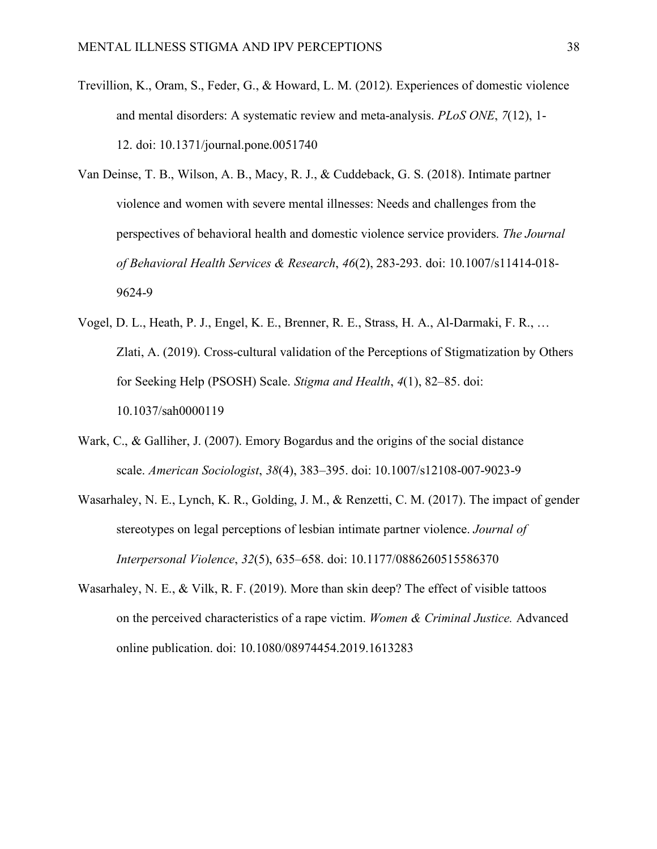- Trevillion, K., Oram, S., Feder, G., & Howard, L. M. (2012). Experiences of domestic violence and mental disorders: A systematic review and meta-analysis. *PLoS ONE*, *7*(12), 1- 12. doi: 10.1371/journal.pone.0051740
- Van Deinse, T. B., Wilson, A. B., Macy, R. J., & Cuddeback, G. S. (2018). Intimate partner violence and women with severe mental illnesses: Needs and challenges from the perspectives of behavioral health and domestic violence service providers. *The Journal of Behavioral Health Services & Research*, *46*(2), 283-293. doi: 10.1007/s11414-018- 9624-9
- Vogel, D. L., Heath, P. J., Engel, K. E., Brenner, R. E., Strass, H. A., Al-Darmaki, F. R., … Zlati, A. (2019). Cross-cultural validation of the Perceptions of Stigmatization by Others for Seeking Help (PSOSH) Scale. *Stigma and Health*, *4*(1), 82–85. doi: 10.1037/sah0000119
- Wark, C., & Galliher, J. (2007). Emory Bogardus and the origins of the social distance scale. *American Sociologist*, *38*(4), 383–395. doi: 10.1007/s12108-007-9023-9
- Wasarhaley, N. E., Lynch, K. R., Golding, J. M., & Renzetti, C. M. (2017). The impact of gender stereotypes on legal perceptions of lesbian intimate partner violence. *Journal of Interpersonal Violence*, *32*(5), 635–658. doi: 10.1177/0886260515586370
- Wasarhaley, N. E., & Vilk, R. F. (2019). More than skin deep? The effect of visible tattoos on the perceived characteristics of a rape victim. *Women & Criminal Justice.* Advanced online publication. doi: 10.1080/08974454.2019.1613283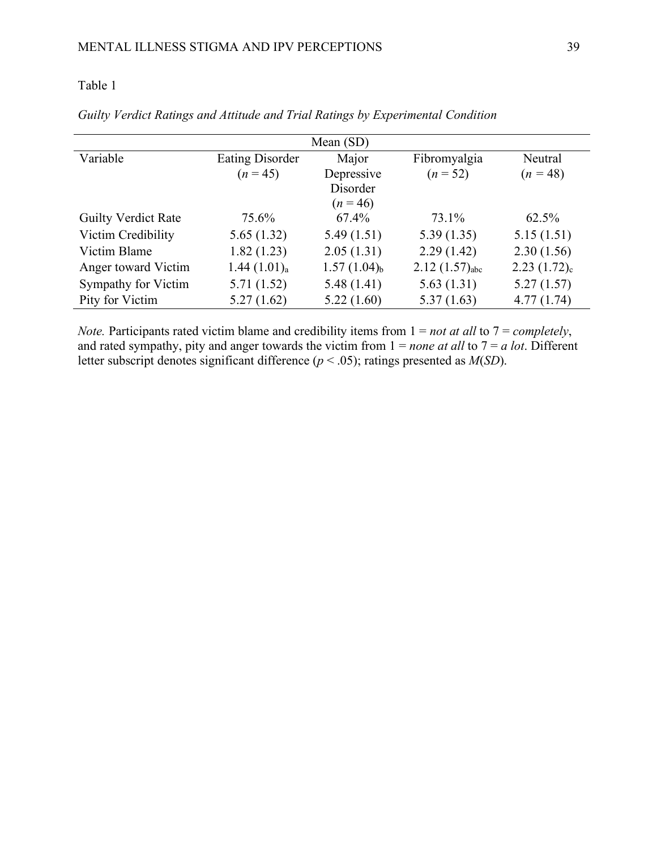# Table 1

| Mean $(SD)$                |                         |                  |                    |                  |  |  |  |  |
|----------------------------|-------------------------|------------------|--------------------|------------------|--|--|--|--|
| Variable                   | <b>Eating Disorder</b>  | Major            | Fibromyalgia       | Neutral          |  |  |  |  |
|                            | $(n = 45)$              | Depressive       | $(n = 52)$         | $(n = 48)$       |  |  |  |  |
|                            |                         | Disorder         |                    |                  |  |  |  |  |
|                            |                         | $(n=46)$         |                    |                  |  |  |  |  |
| <b>Guilty Verdict Rate</b> | 75.6%                   | $67.4\%$         | 73.1%              | 62.5%            |  |  |  |  |
| Victim Credibility         | 5.65(1.32)              | 5.49(1.51)       | 5.39(1.35)         | 5.15(1.51)       |  |  |  |  |
| Victim Blame               | 1.82(1.23)              | 2.05(1.31)       | 2.29(1.42)         | 2.30(1.56)       |  |  |  |  |
| Anger toward Victim        | 1.44(1.01) <sub>a</sub> | $1.57(1.04)_{b}$ | $2.12(1.57)_{abc}$ | $2.23(1.72)_{c}$ |  |  |  |  |
| Sympathy for Victim        | 5.71(1.52)              | 5.48(1.41)       | 5.63(1.31)         | 5.27(1.57)       |  |  |  |  |
| Pity for Victim            | 5.27(1.62)              | 5.22(1.60)       | 5.37(1.63)         | 4.77(1.74)       |  |  |  |  |

*Guilty Verdict Ratings and Attitude and Trial Ratings by Experimental Condition*

*Note.* Participants rated victim blame and credibility items from 1 = *not at all* to 7 = *completely*, and rated sympathy, pity and anger towards the victim from  $1 = none$  *at all* to  $7 = a$  *lot*. Different letter subscript denotes significant difference (*p* < .05); ratings presented as *M*(*SD*).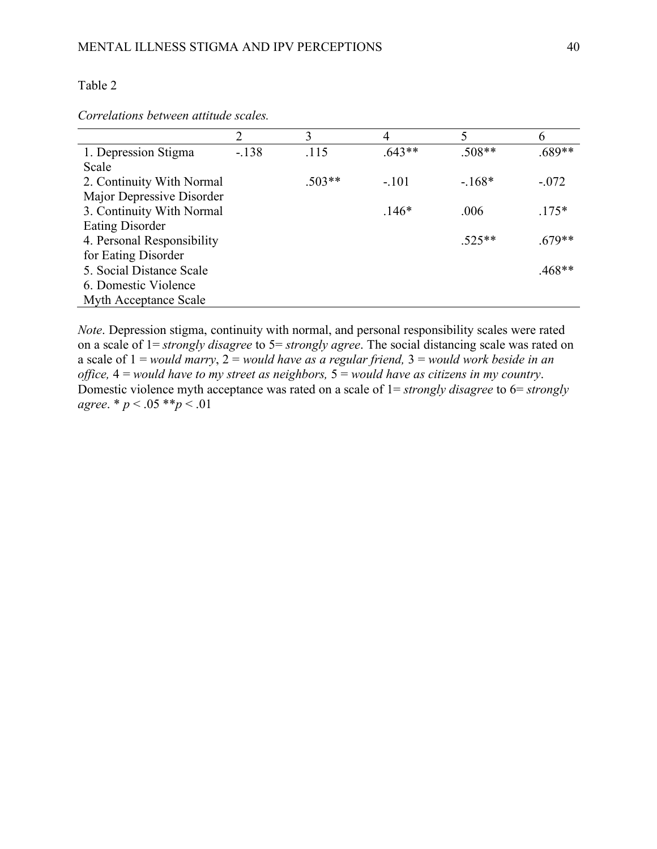### Table 2

*Correlations between attitude scales.*

|                            | 2      | 3        | 4        | 5        | 6        |
|----------------------------|--------|----------|----------|----------|----------|
| 1. Depression Stigma       | $-138$ | .115     | $.643**$ | $.508**$ | $.689**$ |
| Scale                      |        |          |          |          |          |
| 2. Continuity With Normal  |        | $.503**$ | $-.101$  | $-168*$  | $-.072$  |
| Major Depressive Disorder  |        |          |          |          |          |
| 3. Continuity With Normal  |        |          | $.146*$  | .006     | $.175*$  |
| <b>Eating Disorder</b>     |        |          |          |          |          |
| 4. Personal Responsibility |        |          |          | $.525**$ | $.679**$ |
| for Eating Disorder        |        |          |          |          |          |
| 5. Social Distance Scale   |        |          |          |          | $.468**$ |
| 6. Domestic Violence       |        |          |          |          |          |
| Myth Acceptance Scale      |        |          |          |          |          |

*Note*. Depression stigma, continuity with normal, and personal responsibility scales were rated on a scale of 1= *strongly disagree* to 5= *strongly agree*. The social distancing scale was rated on a scale of 1 = *would marry*, 2 = *would have as a regular friend,* 3 = *would work beside in an office,* 4 = *would have to my street as neighbors,* 5 = *would have as citizens in my country*. Domestic violence myth acceptance was rated on a scale of  $1 =$  *strongly disagree* to  $6 =$  *strongly agree*. \* *p* < .05 \*\**p* < .01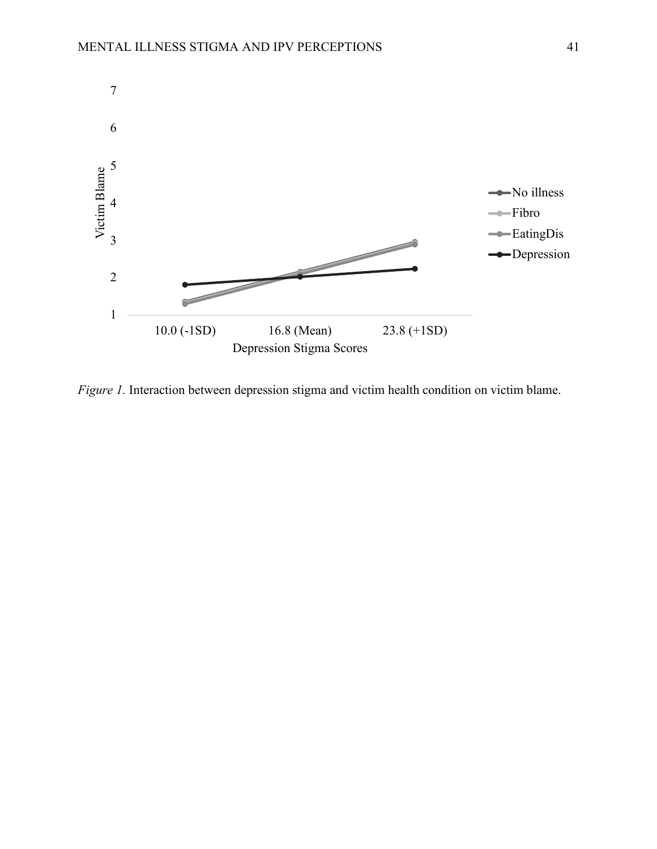

*Figure 1.* Interaction between depression stigma and victim health condition on victim blame.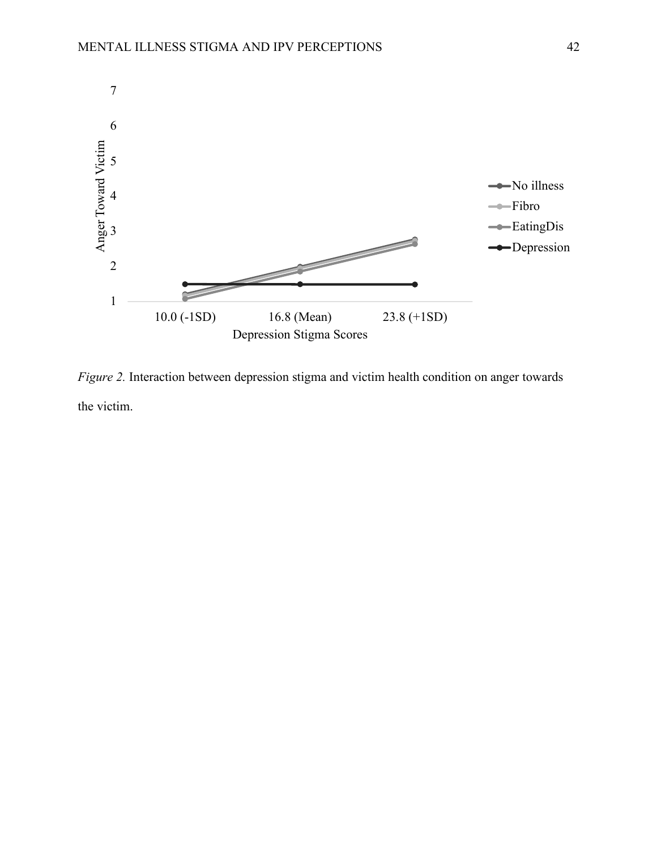

*Figure 2.* Interaction between depression stigma and victim health condition on anger towards the victim.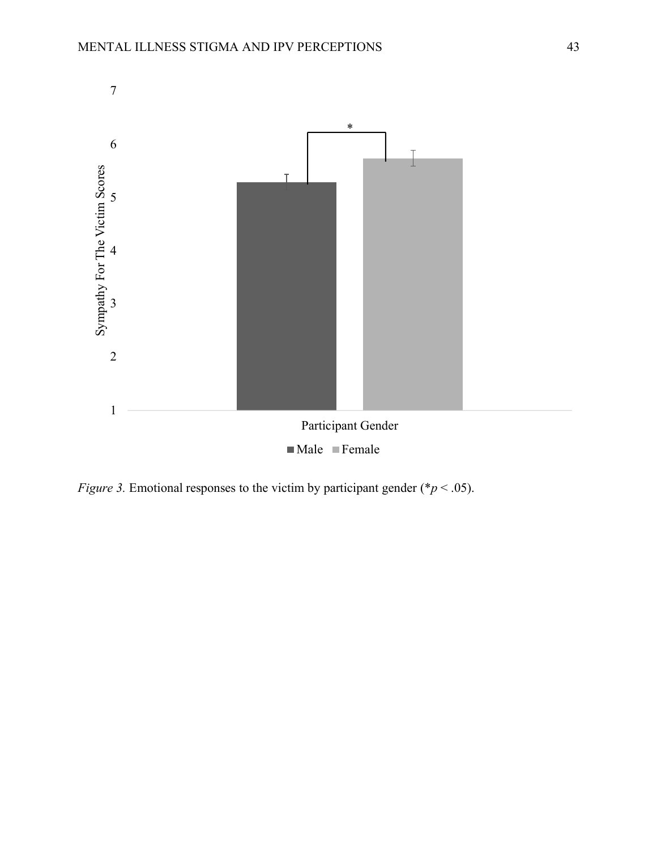

*Figure 3.* Emotional responses to the victim by participant gender (\**p* < .05).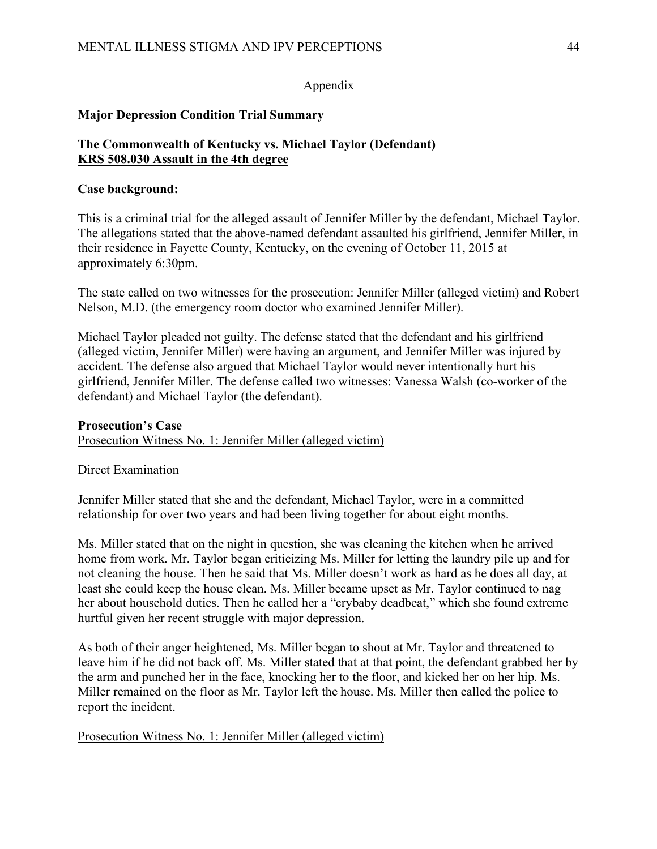# Appendix

# **Major Depression Condition Trial Summary**

## **The Commonwealth of Kentucky vs. Michael Taylor (Defendant) KRS 508.030 Assault in the 4th degree**

## **Case background:**

This is a criminal trial for the alleged assault of Jennifer Miller by the defendant, Michael Taylor. The allegations stated that the above-named defendant assaulted his girlfriend, Jennifer Miller, in their residence in Fayette County, Kentucky, on the evening of October 11, 2015 at approximately 6:30pm.

The state called on two witnesses for the prosecution: Jennifer Miller (alleged victim) and Robert Nelson, M.D. (the emergency room doctor who examined Jennifer Miller).

Michael Taylor pleaded not guilty. The defense stated that the defendant and his girlfriend (alleged victim, Jennifer Miller) were having an argument, and Jennifer Miller was injured by accident. The defense also argued that Michael Taylor would never intentionally hurt his girlfriend, Jennifer Miller. The defense called two witnesses: Vanessa Walsh (co-worker of the defendant) and Michael Taylor (the defendant).

### **Prosecution's Case**

Prosecution Witness No. 1: Jennifer Miller (alleged victim)

Direct Examination

Jennifer Miller stated that she and the defendant, Michael Taylor, were in a committed relationship for over two years and had been living together for about eight months.

Ms. Miller stated that on the night in question, she was cleaning the kitchen when he arrived home from work. Mr. Taylor began criticizing Ms. Miller for letting the laundry pile up and for not cleaning the house. Then he said that Ms. Miller doesn't work as hard as he does all day, at least she could keep the house clean. Ms. Miller became upset as Mr. Taylor continued to nag her about household duties. Then he called her a "crybaby deadbeat," which she found extreme hurtful given her recent struggle with major depression.

As both of their anger heightened, Ms. Miller began to shout at Mr. Taylor and threatened to leave him if he did not back off. Ms. Miller stated that at that point, the defendant grabbed her by the arm and punched her in the face, knocking her to the floor, and kicked her on her hip. Ms. Miller remained on the floor as Mr. Taylor left the house. Ms. Miller then called the police to report the incident.

Prosecution Witness No. 1: Jennifer Miller (alleged victim)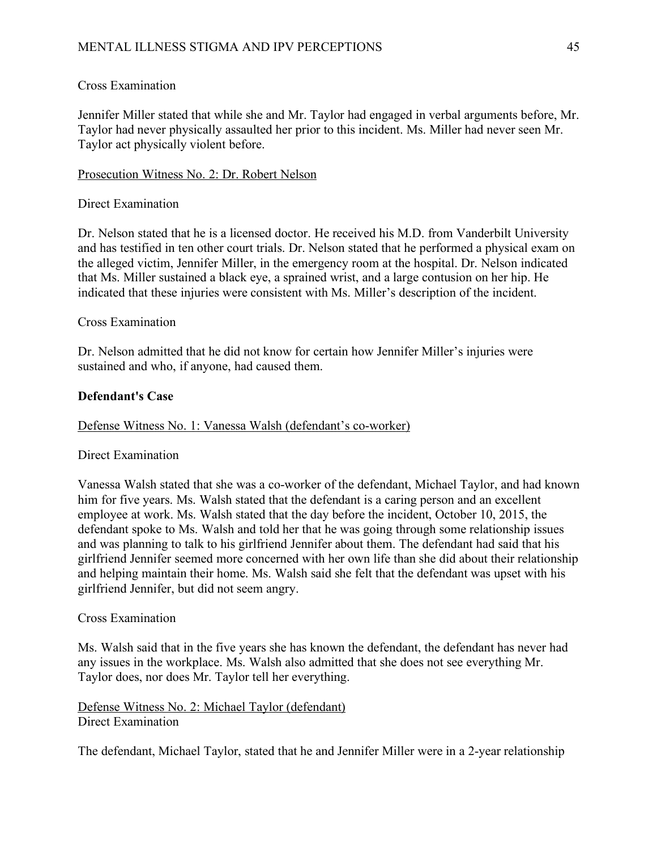## Cross Examination

Jennifer Miller stated that while she and Mr. Taylor had engaged in verbal arguments before, Mr. Taylor had never physically assaulted her prior to this incident. Ms. Miller had never seen Mr. Taylor act physically violent before.

## Prosecution Witness No. 2: Dr. Robert Nelson

## Direct Examination

Dr. Nelson stated that he is a licensed doctor. He received his M.D. from Vanderbilt University and has testified in ten other court trials. Dr. Nelson stated that he performed a physical exam on the alleged victim, Jennifer Miller, in the emergency room at the hospital. Dr. Nelson indicated that Ms. Miller sustained a black eye, a sprained wrist, and a large contusion on her hip. He indicated that these injuries were consistent with Ms. Miller's description of the incident.

## Cross Examination

Dr. Nelson admitted that he did not know for certain how Jennifer Miller's injuries were sustained and who, if anyone, had caused them.

## **Defendant's Case**

## Defense Witness No. 1: Vanessa Walsh (defendant's co-worker)

### Direct Examination

Vanessa Walsh stated that she was a co-worker of the defendant, Michael Taylor, and had known him for five years. Ms. Walsh stated that the defendant is a caring person and an excellent employee at work. Ms. Walsh stated that the day before the incident, October 10, 2015, the defendant spoke to Ms. Walsh and told her that he was going through some relationship issues and was planning to talk to his girlfriend Jennifer about them. The defendant had said that his girlfriend Jennifer seemed more concerned with her own life than she did about their relationship and helping maintain their home. Ms. Walsh said she felt that the defendant was upset with his girlfriend Jennifer, but did not seem angry.

### Cross Examination

Ms. Walsh said that in the five years she has known the defendant, the defendant has never had any issues in the workplace. Ms. Walsh also admitted that she does not see everything Mr. Taylor does, nor does Mr. Taylor tell her everything.

Defense Witness No. 2: Michael Taylor (defendant) Direct Examination

The defendant, Michael Taylor, stated that he and Jennifer Miller were in a 2-year relationship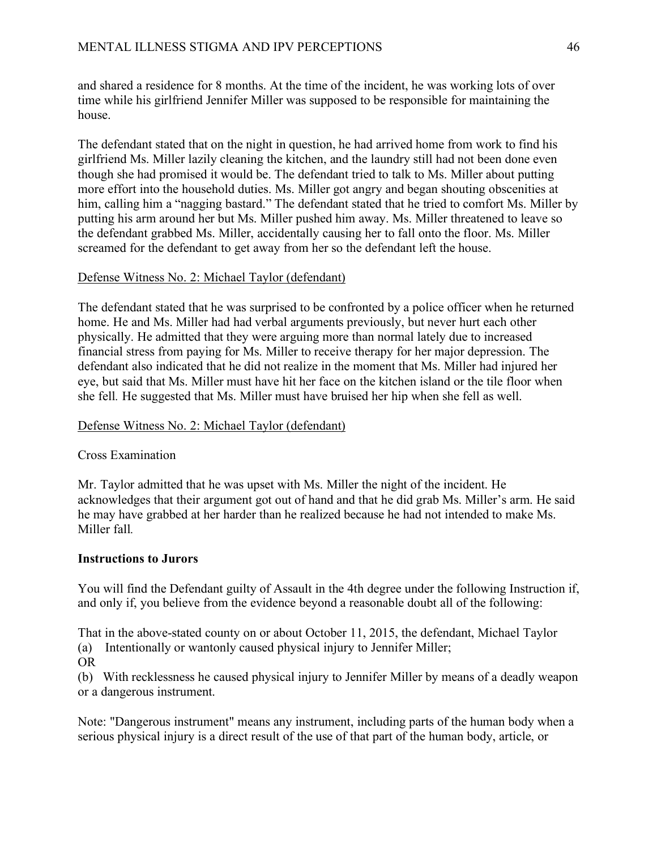and shared a residence for 8 months. At the time of the incident, he was working lots of over time while his girlfriend Jennifer Miller was supposed to be responsible for maintaining the house.

The defendant stated that on the night in question, he had arrived home from work to find his girlfriend Ms. Miller lazily cleaning the kitchen, and the laundry still had not been done even though she had promised it would be. The defendant tried to talk to Ms. Miller about putting more effort into the household duties. Ms. Miller got angry and began shouting obscenities at him, calling him a "nagging bastard." The defendant stated that he tried to comfort Ms. Miller by putting his arm around her but Ms. Miller pushed him away. Ms. Miller threatened to leave so the defendant grabbed Ms. Miller, accidentally causing her to fall onto the floor. Ms. Miller screamed for the defendant to get away from her so the defendant left the house.

# Defense Witness No. 2: Michael Taylor (defendant)

The defendant stated that he was surprised to be confronted by a police officer when he returned home. He and Ms. Miller had had verbal arguments previously, but never hurt each other physically. He admitted that they were arguing more than normal lately due to increased financial stress from paying for Ms. Miller to receive therapy for her major depression. The defendant also indicated that he did not realize in the moment that Ms. Miller had injured her eye, but said that Ms. Miller must have hit her face on the kitchen island or the tile floor when she fell*.* He suggested that Ms. Miller must have bruised her hip when she fell as well.

# Defense Witness No. 2: Michael Taylor (defendant)

## Cross Examination

Mr. Taylor admitted that he was upset with Ms. Miller the night of the incident. He acknowledges that their argument got out of hand and that he did grab Ms. Miller's arm. He said he may have grabbed at her harder than he realized because he had not intended to make Ms. Miller fall*.*

## **Instructions to Jurors**

You will find the Defendant guilty of Assault in the 4th degree under the following Instruction if, and only if, you believe from the evidence beyond a reasonable doubt all of the following:

That in the above-stated county on or about October 11, 2015, the defendant, Michael Taylor

- (a) Intentionally or wantonly caused physical injury to Jennifer Miller;
- OR

(b) With recklessness he caused physical injury to Jennifer Miller by means of a deadly weapon or a dangerous instrument.

Note: "Dangerous instrument" means any instrument, including parts of the human body when a serious physical injury is a direct result of the use of that part of the human body, article, or